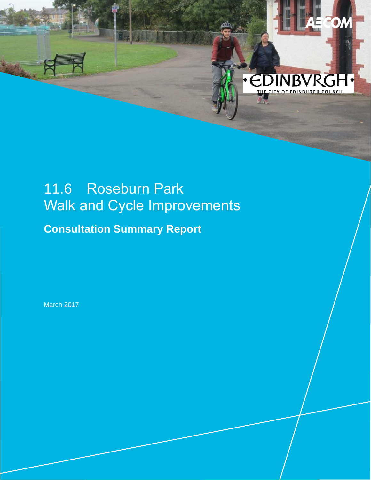# 11.6 Roseburn Park Walk and Cycle Improvements

O

**• EDINBV** 

THE CITY OF EDINBURGH COUNCIL

**Consultation Summary Report**

March 2017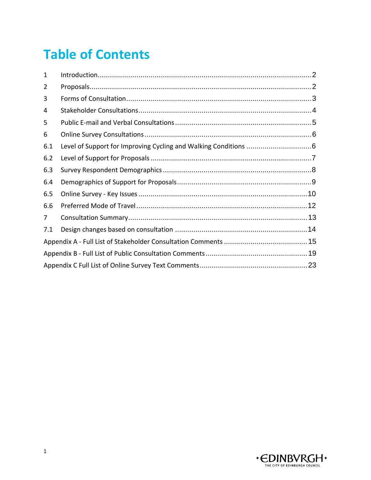# **Table of Contents**

| 1   |  |  |  |  |
|-----|--|--|--|--|
| 2   |  |  |  |  |
| 3   |  |  |  |  |
| 4   |  |  |  |  |
| 5   |  |  |  |  |
| 6   |  |  |  |  |
| 6.1 |  |  |  |  |
| 6.2 |  |  |  |  |
| 6.3 |  |  |  |  |
| 6.4 |  |  |  |  |
| 6.5 |  |  |  |  |
| 6.6 |  |  |  |  |
| 7   |  |  |  |  |
| 7.1 |  |  |  |  |
|     |  |  |  |  |
|     |  |  |  |  |
|     |  |  |  |  |

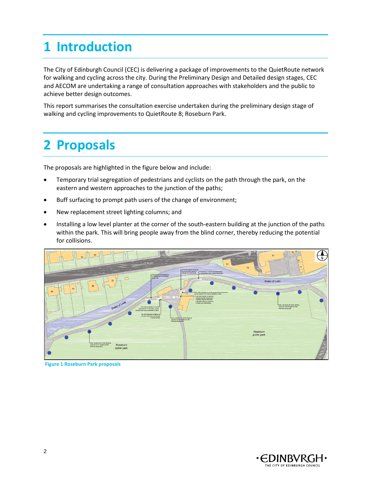# <span id="page-2-0"></span>**1 Introduction**

The City of Edinburgh Council (CEC) is delivering a package of improvements to the QuietRoute network for walking and cycling across the city. During the Preliminary Design and Detailed design stages, CEC and AECOM are undertaking a range of consultation approaches with stakeholders and the public to achieve better design outcomes.

This report summarises the consultation exercise undertaken during the preliminary design stage of walking and cycling improvements to QuietRoute 8; Roseburn Park.

## <span id="page-2-1"></span>**2 Proposals**

The proposals are highlighted in the figure below and include:

- Temporary trial segregation of pedestrians and cyclists on the path through the park, on the eastern and western approaches to the junction of the paths;
- Buff surfacing to prompt path users of the change of environment;
- New replacement street lighting columns; and
- Installing a low level planter at the corner of the south-eastern building at the junction of the paths within the park. This will bring people away from the blind corner, thereby reducing the potential for collisions.



**Figure 1 Roseburn Park proposals**

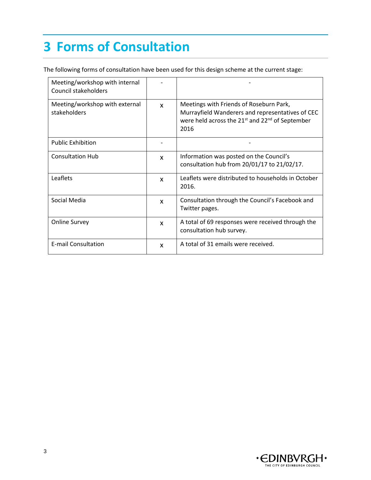# <span id="page-3-0"></span>**3 Forms of Consultation**

The following forms of consultation have been used for this design scheme at the current stage:

| Meeting/workshop with internal<br>Council stakeholders |              |                                                                                                                                                                                |
|--------------------------------------------------------|--------------|--------------------------------------------------------------------------------------------------------------------------------------------------------------------------------|
| Meeting/workshop with external<br>stakeholders         | $\mathbf{x}$ | Meetings with Friends of Roseburn Park,<br>Murrayfield Wanderers and representatives of CEC<br>were held across the 21 <sup>st</sup> and 22 <sup>nd</sup> of September<br>2016 |
| <b>Public Exhibition</b>                               |              |                                                                                                                                                                                |
| <b>Consultation Hub</b>                                | X            | Information was posted on the Council's<br>consultation hub from 20/01/17 to 21/02/17.                                                                                         |
| Leaflets                                               | X            | Leaflets were distributed to households in October<br>2016.                                                                                                                    |
| Social Media                                           | X            | Consultation through the Council's Facebook and<br>Twitter pages.                                                                                                              |
| <b>Online Survey</b>                                   | X            | A total of 69 responses were received through the<br>consultation hub survey.                                                                                                  |
| <b>E-mail Consultation</b>                             | X            | A total of 31 emails were received.                                                                                                                                            |

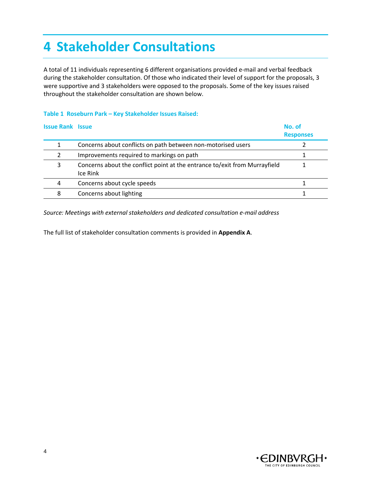# <span id="page-4-0"></span>**4 Stakeholder Consultations**

A total of 11 individuals representing 6 different organisations provided e-mail and verbal feedback during the stakeholder consultation. Of those who indicated their level of support for the proposals, 3 were supportive and 3 stakeholders were opposed to the proposals. Some of the key issues raised throughout the stakeholder consultation are shown below.

### **Table 1 Roseburn Park – Key Stakeholder Issues Raised:**

| <b>Issue Rank Issue</b> |                                                                                        | No. of<br><b>Responses</b> |
|-------------------------|----------------------------------------------------------------------------------------|----------------------------|
|                         | Concerns about conflicts on path between non-motorised users                           |                            |
|                         | Improvements required to markings on path                                              |                            |
| 3                       | Concerns about the conflict point at the entrance to/exit from Murrayfield<br>Ice Rink |                            |
| 4                       | Concerns about cycle speeds                                                            |                            |
| 8                       | Concerns about lighting                                                                |                            |

*Source: Meetings with external stakeholders and dedicated consultation e-mail address*

The full list of stakeholder consultation comments is provided in **Appendix A**.

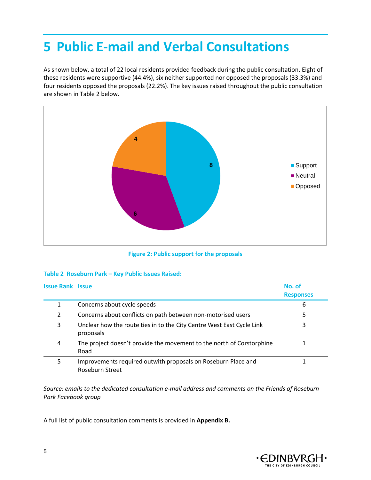## <span id="page-5-0"></span>**5 Public E-mail and Verbal Consultations**

As shown below, a total of 22 local residents provided feedback during the public consultation. Eight of these residents were supportive (44.4%), six neither supported nor opposed the proposals (33.3%) and four residents opposed the proposals (22.2%). The key issues raised throughout the public consultation are shown in Table 2 below.



**Figure 2: Public support for the proposals**

### **Table 2 Roseburn Park – Key Public Issues Raised:**

| <b>Issue Rank Issue</b> |                                                                                    | No. of<br><b>Responses</b> |
|-------------------------|------------------------------------------------------------------------------------|----------------------------|
| 1                       | Concerns about cycle speeds                                                        | 6                          |
| 2                       | Concerns about conflicts on path between non-motorised users                       | 5                          |
| 3                       | Unclear how the route ties in to the City Centre West East Cycle Link<br>proposals | 3                          |
| 4                       | The project doesn't provide the movement to the north of Corstorphine<br>Road      |                            |
| 5                       | Improvements required outwith proposals on Roseburn Place and<br>Roseburn Street   |                            |

*Source: emails to the dedicated consultation e-mail address and comments on the Friends of Roseburn Park Facebook group*

A full list of public consultation comments is provided in **Appendix B.**

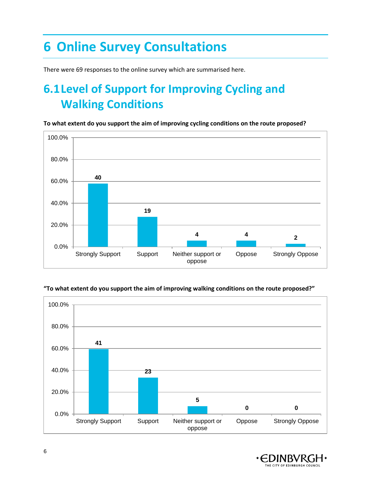# <span id="page-6-0"></span>**6 Online Survey Consultations**

There were 69 responses to the online survey which are summarised here.

## <span id="page-6-1"></span>**6.1Level of Support for Improving Cycling and Walking Conditions**

**To what extent do you support the aim of improving cycling conditions on the route proposed?**



### **"To what extent do you support the aim of improving walking conditions on the route proposed?"**



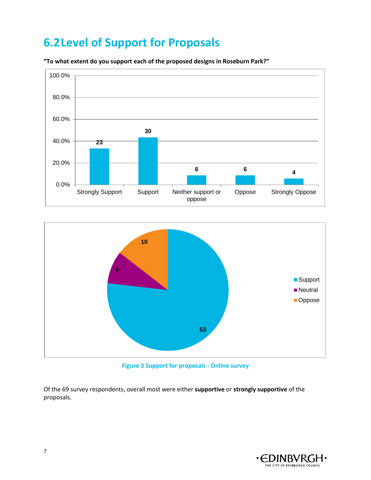### <span id="page-7-0"></span>**6.2Level of Support for Proposals**



**"To what extent do you support each of the proposed designs in Roseburn Park?"**



**Figure 3 Support for proposals - Online survey**

Of the 69 survey respondents, overall most were either **supportive** or **strongly supportive** of the proposals.

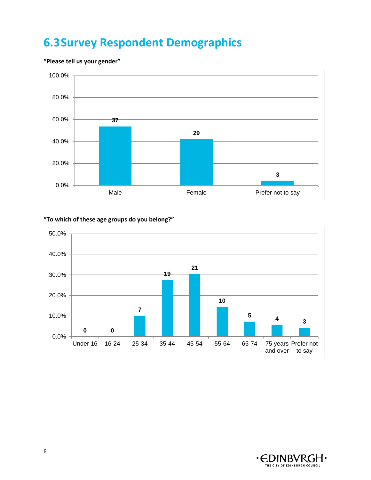### <span id="page-8-0"></span>**6.3Survey Respondent Demographics**

### **"Please tell us your gender"**



### **"To which of these age groups do you belong?"**



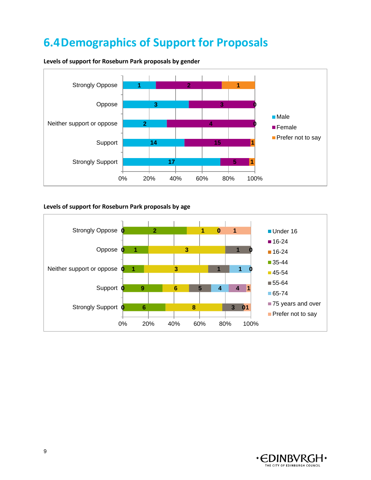## <span id="page-9-0"></span>**6.4Demographics of Support for Proposals**



**Levels of support for Roseburn Park proposals by gender**

### **Levels of support for Roseburn Park proposals by age**



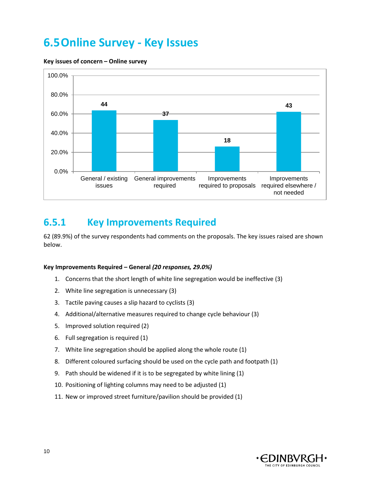### <span id="page-10-0"></span>**6.5Online Survey - Key Issues**



#### **Key issues of concern – Online survey**

### **6.5.1 Key Improvements Required**

62 (89.9%) of the survey respondents had comments on the proposals. The key issues raised are shown below.

#### **Key Improvements Required – General** *(20 responses, 29.0%)*

- 1. Concerns that the short length of white line segregation would be ineffective (3)
- 2. White line segregation is unnecessary (3)
- 3. Tactile paving causes a slip hazard to cyclists (3)
- 4. Additional/alternative measures required to change cycle behaviour (3)
- 5. Improved solution required (2)
- 6. Full segregation is required (1)
- 7. White line segregation should be applied along the whole route (1)
- 8. Different coloured surfacing should be used on the cycle path and footpath (1)
- 9. Path should be widened if it is to be segregated by white lining (1)
- 10. Positioning of lighting columns may need to be adjusted (1)
- 11. New or improved street furniture/pavilion should be provided (1)

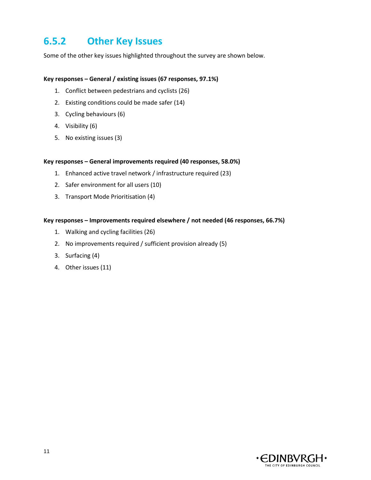### **6.5.2 Other Key Issues**

Some of the other key issues highlighted throughout the survey are shown below.

### **Key responses – General / existing issues (67 responses, 97.1%)**

- 1. Conflict between pedestrians and cyclists (26)
- 2. Existing conditions could be made safer (14)
- 3. Cycling behaviours (6)
- 4. Visibility (6)
- 5. No existing issues (3)

### **Key responses – General improvements required (40 responses, 58.0%)**

- 1. Enhanced active travel network / infrastructure required (23)
- 2. Safer environment for all users (10)
- 3. Transport Mode Prioritisation (4)

#### **Key responses – Improvements required elsewhere / not needed (46 responses, 66.7%)**

- 1. Walking and cycling facilities (26)
- 2. No improvements required / sufficient provision already (5)
- 3. Surfacing (4)
- 4. Other issues (11)

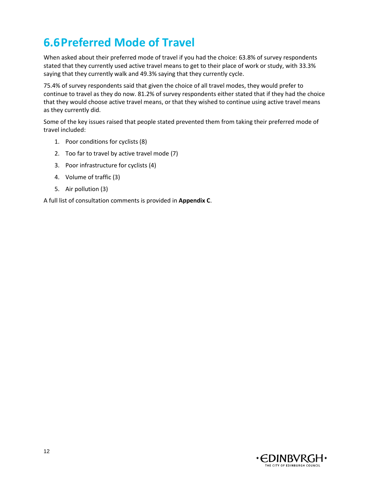## <span id="page-12-0"></span>**6.6Preferred Mode of Travel**

When asked about their preferred mode of travel if you had the choice: 63.8% of survey respondents stated that they currently used active travel means to get to their place of work or study, with 33.3% saying that they currently walk and 49.3% saying that they currently cycle.

75.4% of survey respondents said that given the choice of all travel modes, they would prefer to continue to travel as they do now. 81.2% of survey respondents either stated that if they had the choice that they would choose active travel means, or that they wished to continue using active travel means as they currently did.

Some of the key issues raised that people stated prevented them from taking their preferred mode of travel included:

- 1. Poor conditions for cyclists (8)
- 2. Too far to travel by active travel mode (7)
- 3. Poor infrastructure for cyclists (4)
- 4. Volume of traffic (3)
- 5. Air pollution (3)

A full list of consultation comments is provided in **Appendix C**.

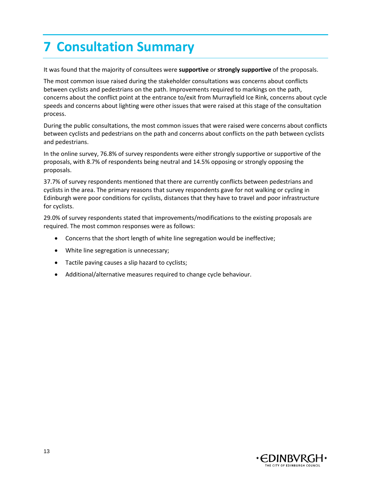# <span id="page-13-0"></span>**7 Consultation Summary**

It was found that the majority of consultees were **supportive** or **strongly supportive** of the proposals.

The most common issue raised during the stakeholder consultations was concerns about conflicts between cyclists and pedestrians on the path. Improvements required to markings on the path, concerns about the conflict point at the entrance to/exit from Murrayfield Ice Rink, concerns about cycle speeds and concerns about lighting were other issues that were raised at this stage of the consultation process.

During the public consultations, the most common issues that were raised were concerns about conflicts between cyclists and pedestrians on the path and concerns about conflicts on the path between cyclists and pedestrians.

In the online survey, 76.8% of survey respondents were either strongly supportive or supportive of the proposals, with 8.7% of respondents being neutral and 14.5% opposing or strongly opposing the proposals.

37.7% of survey respondents mentioned that there are currently conflicts between pedestrians and cyclists in the area. The primary reasons that survey respondents gave for not walking or cycling in Edinburgh were poor conditions for cyclists, distances that they have to travel and poor infrastructure for cyclists.

29.0% of survey respondents stated that improvements/modifications to the existing proposals are required. The most common responses were as follows:

- Concerns that the short length of white line segregation would be ineffective;
- White line segregation is unnecessary;
- Tactile paving causes a slip hazard to cyclists;
- Additional/alternative measures required to change cycle behaviour.

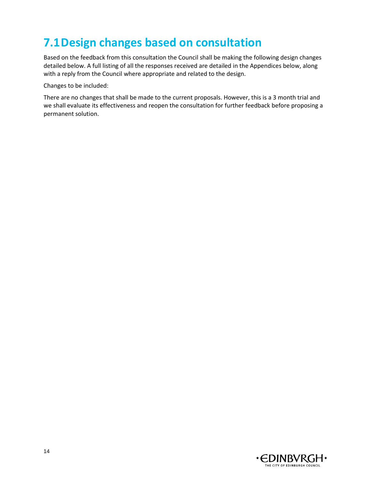## <span id="page-14-0"></span>**7.1Design changes based on consultation**

Based on the feedback from this consultation the Council shall be making the following design changes detailed below. A full listing of all the responses received are detailed in the Appendices below, along with a reply from the Council where appropriate and related to the design.

Changes to be included:

There are no changes that shall be made to the current proposals. However, this is a 3 month trial and we shall evaluate its effectiveness and reopen the consultation for further feedback before proposing a permanent solution.

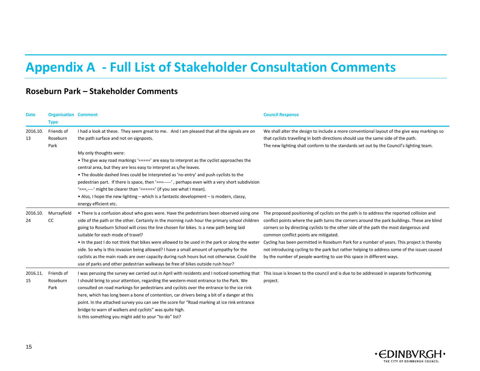# **Appendix A - Full List of Stakeholder Consultation Comments**

### **Roseburn Park – Stakeholder Comments**

<span id="page-15-0"></span>

| <b>Date</b>    | <b>Organisation Comment</b><br><b>Type</b> |                                                                                                                                                                                                                                                                                                                                                                                                                                                                                                                                                                                                                                                                                                        | <b>Council Response</b>                                                                                                                                                                                                                                                                                                                                                                                                                                                                                                                                                                         |
|----------------|--------------------------------------------|--------------------------------------------------------------------------------------------------------------------------------------------------------------------------------------------------------------------------------------------------------------------------------------------------------------------------------------------------------------------------------------------------------------------------------------------------------------------------------------------------------------------------------------------------------------------------------------------------------------------------------------------------------------------------------------------------------|-------------------------------------------------------------------------------------------------------------------------------------------------------------------------------------------------------------------------------------------------------------------------------------------------------------------------------------------------------------------------------------------------------------------------------------------------------------------------------------------------------------------------------------------------------------------------------------------------|
| 2016.10.<br>13 | Friends of<br>Roseburn<br>Park             | I had a look at these. They seem great to me. And I am pleased that all the signals are on<br>the path surface and not on signposts.<br>My only thoughts were:<br>• The give way road markings '=====' are easy to interpret as the cyclist approaches the<br>central area, but they are less easy to interpret as s/he leaves.<br>• The double dashed lines could be interpreted as 'no entry' and push cyclists to the<br>pedestrian part. If there is space, then '===----', perhaps even with a very short subdivision                                                                                                                                                                             | We shall alter the design to include a more conventional layout of the give way markings so<br>that cyclists travelling in both directions should use the same side of the path.<br>The new lighting shall conform to the standards set out by the Council's lighting team.                                                                                                                                                                                                                                                                                                                     |
|                |                                            | '===,---' might be clearer than '======' (if you see what I mean).<br>• Also, I hope the new lighting – which is a fantastic development – is modern, classy,<br>energy efficient etc.                                                                                                                                                                                                                                                                                                                                                                                                                                                                                                                 |                                                                                                                                                                                                                                                                                                                                                                                                                                                                                                                                                                                                 |
| 2016.10.<br>24 | Murrayfield<br>СC                          | • There is a confusion about who goes were. Have the pedestrians been observed using one<br>side of the path or the other. Certainly in the morning rush hour the primary school children<br>going to Roseburn School will cross the line chosen for bikes. Is a new path being laid<br>suitable for each mode of travel?<br>• In the past I do not think that bikes were allowed to be used in the park or along the water<br>side. So why is this invasion being allowed? I have a small amount of sympathy for the<br>cyclists as the main roads are over capacity during rush hours but not otherwise. Could the<br>use of parks and other pedestrian walkways be free of bikes outside rush hour? | The proposed positioning of cyclists on the path is to address the reported collision and<br>conflict points where the path turns the corners around the park buildings. These are blind<br>corners so by directing cyclists to the other side of the path the most dangerous and<br>common conflict points are mitigated.<br>Cycling has been permitted in Roseburn Park for a number of years. This project is thereby<br>not introducing cycling to the park but rather helping to address some of the issues caused<br>by the number of people wanting to use this space in different ways. |
| 2016.11.<br>15 | Friends of<br>Roseburn<br>Park             | I was perusing the survey we carried out in April with residents and I noticed something that This issue is known to the council and is due to be addressed in separate forthcoming<br>I should bring to your attention, regarding the western-most entrance to the Park. We<br>consulted on road markings for pedestrians and cyclists over the entrance to the ice rink<br>here, which has long been a bone of contention, car drivers being a bit of a danger at this<br>point. In the attached survey you can see the score for "Road marking at ice rink entrance<br>bridge to warn of walkers and cyclists" was quite high.<br>Is this something you might add to your "to-do" list?             | project.                                                                                                                                                                                                                                                                                                                                                                                                                                                                                                                                                                                        |

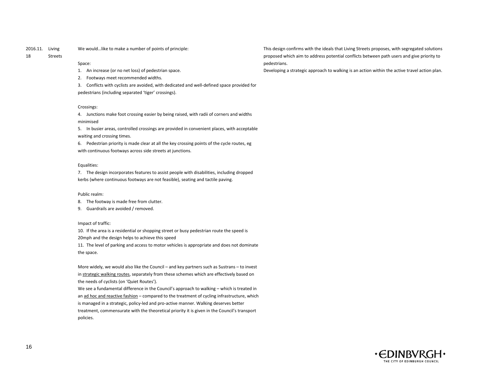#### 2016.11. Living We would…like to make a number of points of principle:

#### 18 Streets

#### Space:

- 1. An increase (or no net loss) of pedestrian space.
- 2. Footways meet recommended widths.
- 3. Conflicts with cyclists are avoided, with dedicated and well-defined space provided for pedestrians (including separated 'tiger' crossings).

#### Crossings:

4. Junctions make foot crossing easier by being raised, with radii of corners and widths minimised

5. In busier areas, controlled crossings are provided in convenient places, with acceptable waiting and crossing times.

6. Pedestrian priority is made clear at all the key crossing points of the cycle routes, eg with continuous footways across side streets at junctions.

#### Equalities:

7. The design incorporates features to assist people with disabilities, including dropped kerbs (where continuous footways are not feasible), seating and tactile paving.

#### Public realm:

- 8. The footway is made free from clutter.
- 9. Guardrails are avoided / removed.

#### Impact of traffic:

10. If the area is a residential or shopping street or busy pedestrian route the speed is

20mph and the design helps to achieve this speed

11. The level of parking and access to motor vehicles is appropriate and does not dominate the space.

More widely, we would also like the Council – and key partners such as Sustrans – to invest in strategic walking routes, separately from these schemes which are effectively based on the needs of cyclists (on 'Quiet Routes').

We see a fundamental difference in the Council's approach to walking – which is treated in an ad hoc and reactive fashion – compared to the treatment of cycling infrastructure, which is managed in a strategic, policy-led and pro-active manner. Walking deserves better treatment, commensurate with the theoretical priority it is given in the Council's transport policies.

This design confirms with the ideals that Living Streets proposes, with segregated solutions proposed which aim to address potential conflicts between path users and give priority to pedestrians.

Developing a strategic approach to walking is an action within the active travel action plan.

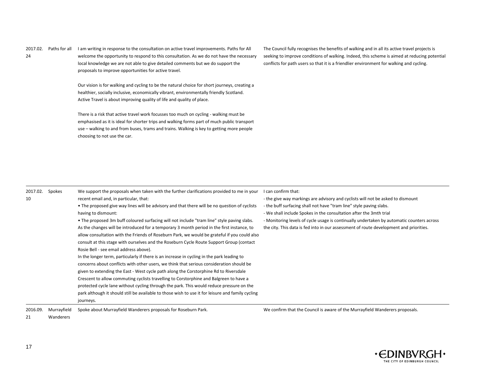| 2017.02. | Paths for all | I am writing in response to the consultation on active travel improvements. Paths for All |
|----------|---------------|-------------------------------------------------------------------------------------------|
| 24       |               | welcome the opportunity to respond to this consultation. As we do not have the necessary  |
|          |               | local knowledge we are not able to give detailed comments but we do support the           |
|          |               | proposals to improve opportunities for active travel.                                     |

Our vision is for walking and cycling to be the natural choice for short journeys, creating a healthier, socially inclusive, economically vibrant, environmentally friendly Scotland. Active Travel is about improving quality of life and quality of place.

There is a risk that active travel work focusses too much on cycling - walking must be emphasised as it is ideal for shorter trips and walking forms part of much public transport use – walking to and from buses, trams and trains. Walking is key to getting more people choosing to not use the car.

The Council fully recognises the benefits of walking and in all its active travel projects is seeking to improve conditions of walking. Indeed, this scheme is aimed at reducing potential conflicts for path users so that it is a friendlier environment for walking and cycling.

| 2017.02.<br>10 | Spokes      | We support the proposals when taken with the further clarifications provided to me in your<br>recent email and, in particular, that:<br>• The proposed give way lines will be advisory and that there will be no question of cyclists<br>having to dismount:<br>• The proposed 3m buff coloured surfacing will not include "tram line" style paving slabs.<br>As the changes will be introduced for a temporary 3 month period in the first instance, to<br>allow consultation with the Friends of Roseburn Park, we would be grateful if you could also<br>consult at this stage with ourselves and the Roseburn Cycle Route Support Group (contact<br>Rosie Bell - see email address above).<br>In the longer term, particularly if there is an increase in cycling in the park leading to<br>concerns about conflicts with other users, we think that serious consideration should be<br>given to extending the East - West cycle path along the Corstorphine Rd to Riversdale<br>Crescent to allow commuting cyclists travelling to Corstorphine and Balgreen to have a<br>protected cycle lane without cycling through the park. This would reduce pressure on the<br>park although it should still be available to those wish to use it for leisure and family cycling | can confirm that:<br>- the give way markings are advisory and cyclists will not be asked to dismount<br>- the buff surfacing shall not have "tram line" style paving slabs.<br>- We shall include Spokes in the consultation after the 3mth trial<br>- Monitoring levels of cycle usage is continually undertaken by automatic counters across<br>the city. This data is fed into in our assessment of route development and priorities. |
|----------------|-------------|------------------------------------------------------------------------------------------------------------------------------------------------------------------------------------------------------------------------------------------------------------------------------------------------------------------------------------------------------------------------------------------------------------------------------------------------------------------------------------------------------------------------------------------------------------------------------------------------------------------------------------------------------------------------------------------------------------------------------------------------------------------------------------------------------------------------------------------------------------------------------------------------------------------------------------------------------------------------------------------------------------------------------------------------------------------------------------------------------------------------------------------------------------------------------------------------------------------------------------------------------------------------------|------------------------------------------------------------------------------------------------------------------------------------------------------------------------------------------------------------------------------------------------------------------------------------------------------------------------------------------------------------------------------------------------------------------------------------------|
|                |             |                                                                                                                                                                                                                                                                                                                                                                                                                                                                                                                                                                                                                                                                                                                                                                                                                                                                                                                                                                                                                                                                                                                                                                                                                                                                              |                                                                                                                                                                                                                                                                                                                                                                                                                                          |
|                |             | journeys.                                                                                                                                                                                                                                                                                                                                                                                                                                                                                                                                                                                                                                                                                                                                                                                                                                                                                                                                                                                                                                                                                                                                                                                                                                                                    |                                                                                                                                                                                                                                                                                                                                                                                                                                          |
| 2016.09.       | Murrayfield | Spoke about Murrayfield Wanderers proposals for Roseburn Park.                                                                                                                                                                                                                                                                                                                                                                                                                                                                                                                                                                                                                                                                                                                                                                                                                                                                                                                                                                                                                                                                                                                                                                                                               | We confirm that the Council is aware of the Murrayfield Wanderers proposals.                                                                                                                                                                                                                                                                                                                                                             |



21

Wanderers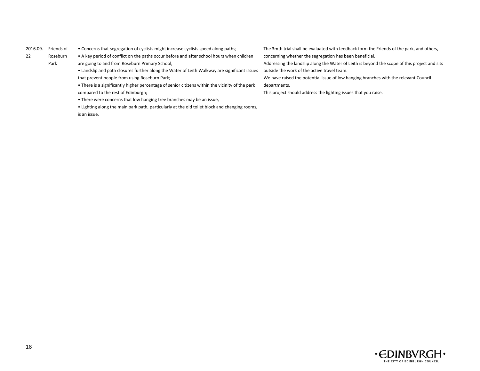#### 2016.09. Friends of

• Concerns that segregation of cyclists might increase cyclists speed along paths;

22 Roseburn

Park

• A key period of conflict on the paths occur before and after school hours when children

are going to and from Roseburn Primary School;

- Landslip and path closures further along the Water of Leith Walkway are significant issues that prevent people from using Roseburn Park;
- There is a significantly higher percentage of senior citizens within the vicinity of the park compared to the rest of Edinburgh;
- There were concerns that low hanging tree branches may be an issue,
- Lighting along the main park path, particularly at the old toilet block and changing rooms,

is an issue.

The 3mth trial shall be evaluated with feedback form the Friends of the park, and others, concerning whether the segregation has been beneficial.

Addressing the landslip along the Water of Leith is beyond the scope of this project and sits outside the work of the active travel team.

We have raised the potential issue of low hanging branches with the relevant Council departments.

This project should address the lighting issues that you raise.

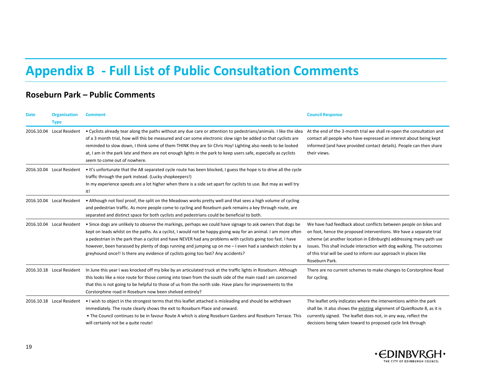## **Appendix B - Full List of Public Consultation Comments**

### **Roseburn Park – Public Comments**

<span id="page-19-0"></span>

| <b>Date</b> | <b>Organisation</b><br><b>Type</b> | <b>Comment</b>                                                                                                                                                                                                                                                                                                                                                                                                                                                                                                                                   | <b>Council Response</b>                                                                                                                                                                                                                                                                                                                                                      |
|-------------|------------------------------------|--------------------------------------------------------------------------------------------------------------------------------------------------------------------------------------------------------------------------------------------------------------------------------------------------------------------------------------------------------------------------------------------------------------------------------------------------------------------------------------------------------------------------------------------------|------------------------------------------------------------------------------------------------------------------------------------------------------------------------------------------------------------------------------------------------------------------------------------------------------------------------------------------------------------------------------|
| 2016.10.04  | Local Resident                     | • Cyclists already tear along the paths without any due care or attention to pedestrians/animals. I like the idea<br>of a 3 month trial, how will this be measured and can some electronic slow sign be added so that cyclists are<br>reminded to slow down, I think some of them THINK they are Sir Chris Hoy! Lighting also needs to be looked<br>at, I am in the park late and there are not enough lights in the park to keep users safe, especially as cyclists<br>seem to come out of nowhere.                                             | At the end of the 3-month trial we shall re-open the consultation and<br>contact all people who have expressed an interest about being kept<br>informed (and have provided contact details). People can then share<br>their views.                                                                                                                                           |
|             | 2016.10.04 Local Resident          | • It's unfortunate that the A8 separated cycle route has been blocked, I guess the hope is to drive all the cycle<br>traffic through the park instead. (Lucky shopkeepers!)<br>In my experience speeds are a lot higher when there is a side set apart for cyclists to use. But may as well try<br>it!                                                                                                                                                                                                                                           |                                                                                                                                                                                                                                                                                                                                                                              |
|             | 2016.10.04 Local Resident          | • Although not fool proof, the split on the Meadows works pretty well and that sees a high volume of cycling<br>and pedestrian traffic. As more people come to cycling and Roseburn park remains a key through route, are<br>separated and distinct space for both cyclists and pedestrians could be beneficial to both.                                                                                                                                                                                                                         |                                                                                                                                                                                                                                                                                                                                                                              |
| 2016.10.04  | Local Resident                     | • Since dogs are unlikely to observe the markings, perhaps we could have signage to ask owners that dogs be<br>kept on leads whilst on the paths. As a cyclist, I would not be happy giving way for an animal. I am more often<br>a pedestrian in the park than a cyclist and have NEVER had any problems with cyclists going too fast. I have<br>however, been harassed by plenty of dogs running and jumping up on me - I even had a sandwich stolen by a<br>greyhound once!! Is there any evidence of cyclists going too fast? Any accidents? | We have had feedback about conflicts between people on bikes and<br>on foot, hence the proposed interventions. We have a separate trial<br>scheme (at another location in Edinburgh) addressing many path use<br>issues. This shall include interaction with dog walking. The outcomes<br>of this trial will be used to inform our approach in places like<br>Roseburn Park. |
|             | 2016.10.18 Local Resident          | In June this year I was knocked off my bike by an articulated truck at the traffic lights in Roseburn. Although<br>this looks like a nice route for those coming into town from the south side of the main road I am concerned<br>that this is not going to be helpful to those of us from the north side. Have plans for improvements to the<br>Corstorphine road in Roseburn now been shelved entirely?                                                                                                                                        | There are no current schemes to make changes to Corstorphine Road<br>for cycling.                                                                                                                                                                                                                                                                                            |
|             | 2016.10.18 Local Resident          | I wish to object in the strongest terms that this leaflet attached is misleading and should be withdrawn<br>immediately. The route clearly shows the exit to Roseburn Place and onward.<br>• The Council continues to be in favour Route A which is along Roseburn Gardens and Roseburn Terrace. This<br>will certainly not be a quite route!                                                                                                                                                                                                    | The leaflet only indicates where the interventions within the park<br>shall be. It also shows the existing alignment of QuietRoute 8, as it is<br>currently signed. The leaflet does not, in any way, reflect the<br>decisions being taken toward to proposed cycle link through                                                                                             |

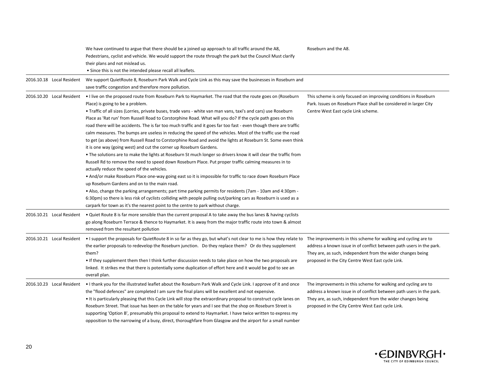|                           | We have continued to argue that there should be a joined up approach to all traffic around the A8,<br>Pedestrians, cyclist and vehicle. We would support the route through the park but the Council Must clarify<br>their plans and not mislead us.<br>• Since this is not the intended please recall all leaflets.                                                                                                                                                                                                                                                                                                                                                                                                                                                                                                                                                                                                                                                                                                                                                                                                                                                                                                                                                                                                                                                                                                                                                                                                                                                         | Roseburn and the A8.                                                                                                                                                                                                                                       |
|---------------------------|-----------------------------------------------------------------------------------------------------------------------------------------------------------------------------------------------------------------------------------------------------------------------------------------------------------------------------------------------------------------------------------------------------------------------------------------------------------------------------------------------------------------------------------------------------------------------------------------------------------------------------------------------------------------------------------------------------------------------------------------------------------------------------------------------------------------------------------------------------------------------------------------------------------------------------------------------------------------------------------------------------------------------------------------------------------------------------------------------------------------------------------------------------------------------------------------------------------------------------------------------------------------------------------------------------------------------------------------------------------------------------------------------------------------------------------------------------------------------------------------------------------------------------------------------------------------------------|------------------------------------------------------------------------------------------------------------------------------------------------------------------------------------------------------------------------------------------------------------|
| 2016.10.18 Local Resident | We support QuietRoute 8, Roseburn Park Walk and Cycle Link as this may save the businesses in Roseburn and<br>save traffic congestion and therefore more pollution.                                                                                                                                                                                                                                                                                                                                                                                                                                                                                                                                                                                                                                                                                                                                                                                                                                                                                                                                                                                                                                                                                                                                                                                                                                                                                                                                                                                                         |                                                                                                                                                                                                                                                            |
| 2016.10.20 Local Resident | . I live on the proposed route from Roseburn Park to Haymarket. The road that the route goes on (Roseburn<br>Place) is going to be a problem.<br>. Traffic of all sizes (Lorries, private buses, trade vans - white van man vans, taxi's and cars) use Roseburn<br>Place as 'Rat run' from Russell Road to Corstorphine Road. What will you do? If the cycle path goes on this<br>road there will be accidents. The is far too much traffic and it goes far too fast - even though there are traffic<br>calm measures. The bumps are useless in reducing the speed of the vehicles. Most of the traffic use the road<br>to get (as above) from Russell Road to Corstorphine Road and avoid the lights at Roseburn St. Some even think<br>it is one way (going west) and cut the corner up Roseburn Gardens.<br>• The solutions are to make the lights at Roseburn St much longer so drivers know it will clear the traffic from<br>Russell Rd to remove the need to speed down Roseburn Place. Put proper traffic calming measures in to<br>actually reduce the speed of the vehicles.<br>. And/or make Roseburn Place one-way going east so it is impossible for traffic to race down Roseburn Place<br>up Roseburn Gardens and on to the main road.<br>. Also, change the parking arrangements; part time parking permits for residents (7am - 10am and 4:30pm -<br>6:30pm) so there is less risk of cyclists colliding with people pulling out/parking cars as Roseburn is used as a<br>carpark for town as it's the nearest point to the centre to park without charge. | This scheme is only focused on improving conditions in Roseburn<br>Park. Issues on Roseburn Place shall be considered in larger City<br>Centre West East cycle Link scheme.                                                                                |
| 2016.10.21 Local Resident | • Quiet Route 8 is far more sensible than the current proposal A to take away the bus lanes & having cyclists<br>go along Roseburn Terrace & thence to Haymarket. It is away from the major traffic route into town & almost<br>removed from the resultant pollution                                                                                                                                                                                                                                                                                                                                                                                                                                                                                                                                                                                                                                                                                                                                                                                                                                                                                                                                                                                                                                                                                                                                                                                                                                                                                                        |                                                                                                                                                                                                                                                            |
| 2016.10.21 Local Resident | • I support the proposals for QuietRoute 8 in so far as they go, but what's not clear to me is how they relate to The improvements in this scheme for walking and cycling are to<br>the earlier proposals to redevelop the Roseburn junction. Do they replace them? Or do they supplement<br>them?<br>. If they supplement them then I think further discussion needs to take place on how the two proposals are<br>linked. It strikes me that there is potentially some duplication of effort here and it would be god to see an<br>overall plan.                                                                                                                                                                                                                                                                                                                                                                                                                                                                                                                                                                                                                                                                                                                                                                                                                                                                                                                                                                                                                          | address a known issue in of conflict between path users in the park.<br>They are, as such, independent from the wider changes being<br>proposed in the City Centre West East cycle Link.                                                                   |
| 2016.10.23 Local Resident | I thank you for the illustrated leaflet about the Roseburn Park Walk and Cycle Link. I approve of it and once<br>the "flood defences" are completed I am sure the final plans will be excellent and not expensive.<br>• It is particularly pleasing that this Cycle Link will stop the extraordinary proposal to construct cycle lanes on<br>Roseburn Street. That issue has been on the table for years and I see that the shop on Roseburn Street is<br>supporting 'Option B', presumably this proposal to extend to Haymarket. I have twice written to express my<br>opposition to the narrowing of a busy, direct, thoroughfare from Glasgow and the airport for a small number                                                                                                                                                                                                                                                                                                                                                                                                                                                                                                                                                                                                                                                                                                                                                                                                                                                                                         | The improvements in this scheme for walking and cycling are to<br>address a known issue in of conflict between path users in the park.<br>They are, as such, independent from the wider changes being<br>proposed in the City Centre West East cycle Link. |

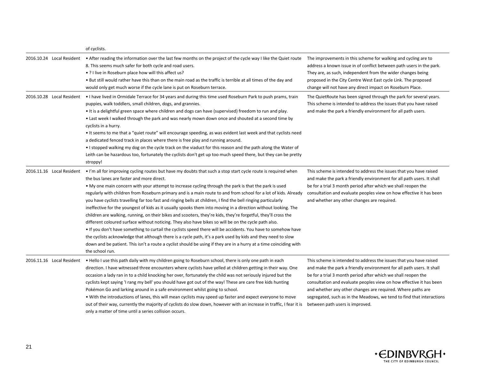|                           | of cyclists.                                                                                                                                                                                                                                                                                                                                                                                                                                                                                                                                                                                                                                                                                                                                                                                                                                                                                                                                                                                                                                                                                                                                                                                                                  |                                                                                                                                                                                                                                                                                                                                                                                                                                                                |
|---------------------------|-------------------------------------------------------------------------------------------------------------------------------------------------------------------------------------------------------------------------------------------------------------------------------------------------------------------------------------------------------------------------------------------------------------------------------------------------------------------------------------------------------------------------------------------------------------------------------------------------------------------------------------------------------------------------------------------------------------------------------------------------------------------------------------------------------------------------------------------------------------------------------------------------------------------------------------------------------------------------------------------------------------------------------------------------------------------------------------------------------------------------------------------------------------------------------------------------------------------------------|----------------------------------------------------------------------------------------------------------------------------------------------------------------------------------------------------------------------------------------------------------------------------------------------------------------------------------------------------------------------------------------------------------------------------------------------------------------|
| 2016.10.24 Local Resident | • After reading the information over the last few months on the project of the cycle way I like the Quiet route<br>8. This seems much safer for both cycle and road users.<br>• ? I live in Roseburn place how will this affect us?<br>• But still would rather have this than on the main road as the traffic is terrible at all times of the day and<br>would only get much worse if the cycle lane is put on Roseburn terrace.                                                                                                                                                                                                                                                                                                                                                                                                                                                                                                                                                                                                                                                                                                                                                                                             | The improvements in this scheme for walking and cycling are to<br>address a known issue in of conflict between path users in the park.<br>They are, as such, independent from the wider changes being<br>proposed in the City Centre West East cycle Link. The proposed<br>change will not have any direct impact on Roseburn Place.                                                                                                                           |
| 2016.10.28 Local Resident | . I have lived in Ormidale Terrace for 34 years and during this time used Roseburn Park to push prams, train<br>puppies, walk toddlers, small children, dogs, and grannies.<br>• It is a delightful green space where children and dogs can have (supervised) freedom to run and play.<br>• Last week I walked through the park and was nearly mown down once and shouted at a second time by<br>cyclists in a hurry.<br>. It seems to me that a "quiet route" will encourage speeding, as was evident last week and that cyclists need<br>a dedicated fenced track in places where there is free play and running around.<br>• I stopped walking my dog on the cycle track on the viaduct for this reason and the path along the Water of<br>Leith can be hazardous too, fortunately the cyclists don't get up too much speed there, but they can be pretty<br>stroppy!                                                                                                                                                                                                                                                                                                                                                      | The QuietRoute has been signed through the park for several years.<br>This scheme is intended to address the issues that you have raised<br>and make the park a friendly environment for all path users.                                                                                                                                                                                                                                                       |
| 2016.11.16 Local Resident | . I'm all for improving cycling routes but have my doubts that such a stop start cycle route is required when<br>the bus lanes are faster and more direct.<br>. My one main concern with your attempt to increase cycling through the park is that the park is used<br>regularly with children from Roseburn primary and is a main route to and from school for a lot of kids. Already<br>you have cyclists travelling far too fast and ringing bells at children, I find the bell ringing particularly<br>ineffective for the youngest of kids as it usually spooks them into moving in a direction without looking. The<br>children are walking, running, on their bikes and scooters, they're kids, they're forgetful, they'll cross the<br>different coloured surface without noticing. They also have bikes so will be on the cycle path also.<br>. If you don't have something to curtail the cyclists speed there will be accidents. You have to somehow have<br>the cyclists acknowledge that although there is a cycle path, it's a park used by kids and they need to slow<br>down and be patient. This isn't a route a cyclist should be using if they are in a hurry at a time coinciding with<br>the school run. | This scheme is intended to address the issues that you have raised<br>and make the park a friendly environment for all path users. It shall<br>be for a trial 3 month period after which we shall reopen the<br>consultation and evaluate peoples view on how effective it has been<br>and whether any other changes are required.                                                                                                                             |
| 2016.11.16 Local Resident | . Hello I use this path daily with my children going to Roseburn school, there is only one path in each<br>direction. I have witnessed three encounters where cyclists have yelled at children getting in their way. One<br>occasion a lady ran in to a child knocking her over, fortunately the child was not seriously injured but the<br>cyclists kept saying 'I rang my bell' you should have got out of the way! These are care free kids hunting<br>Pokémon Go and larking around in a safe environment whilst going to school.<br>. With the introductions of lanes, this will mean cyclists may speed up faster and expect everyone to move<br>out of their way, currently the majority of cyclists do slow down, however with an increase in traffic, I fear it is<br>only a matter of time until a series collision occurs.                                                                                                                                                                                                                                                                                                                                                                                         | This scheme is intended to address the issues that you have raised<br>and make the park a friendly environment for all path users. It shall<br>be for a trial 3 month period after which we shall reopen the<br>consultation and evaluate peoples view on how effective it has been<br>and whether any other changes are required. Where paths are<br>segregated, such as in the Meadows, we tend to find that interactions<br>between path users is improved. |

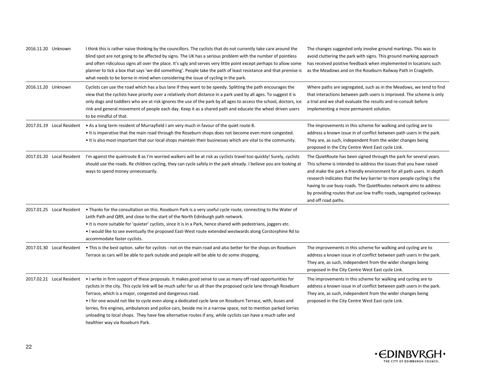| 2016.11.20 Unknown        | I think this is rather naive thinking by the councillors. The cyclists that do not currently take care around the<br>blind spot are not going to be affected by signs. The UK has a serious problem with the number of pointless<br>and often ridiculous signs all over the place. It's ugly and serves very little point except perhaps to allow some<br>planner to tick a box that says 'we did something'. People take the path of least resistance and that premise is<br>what needs to be borne in mind when considering the issue of cycling in the park.                                                                                                                                        | The changes suggested only involve ground markings. This was to<br>avoid cluttering the park with signs. This ground marking approach<br>has received positive feedback when implemented in locations such<br>as the Meadows and on the Roseburn Railway Path in Craigleith.                                                                                                                                                                                   |
|---------------------------|--------------------------------------------------------------------------------------------------------------------------------------------------------------------------------------------------------------------------------------------------------------------------------------------------------------------------------------------------------------------------------------------------------------------------------------------------------------------------------------------------------------------------------------------------------------------------------------------------------------------------------------------------------------------------------------------------------|----------------------------------------------------------------------------------------------------------------------------------------------------------------------------------------------------------------------------------------------------------------------------------------------------------------------------------------------------------------------------------------------------------------------------------------------------------------|
| 2016.11.20 Unknown        | Cyclists can use the road which has a bus lane if they want to be speedy. Splitting the path encourages the<br>view that the cyclists have priority over a relatively short distance in a park used by all ages. To suggest it is<br>only dogs and toddlers who are at risk ignores the use of the park by all ages to access the school, doctors, ice<br>rink and general movement of people each day. Keep it as a shared path and educate the wheel driven users<br>to be mindful of that.                                                                                                                                                                                                          | Where paths are segregated, such as in the Meadows, we tend to find<br>that interactions between path users is improved. The scheme is only<br>a trial and we shall evaluate the results and re-consult before<br>implementing a more permanent solution.                                                                                                                                                                                                      |
| 2017.01.19 Local Resident | • As a long term resident of Murrayfield I am very much in favour of the quiet route 8.<br>. It is imperative that the main road through the Roseburn shops does not become even more congested.<br>It is also most important that our local shops maintain their businesses which are vital to the community.                                                                                                                                                                                                                                                                                                                                                                                         | The improvements in this scheme for walking and cycling are to<br>address a known issue in of conflict between path users in the park.<br>They are, as such, independent from the wider changes being<br>proposed in the City Centre West East cycle Link.                                                                                                                                                                                                     |
| 2017.01.20 Local Resident | I'm against the quietroute 8 as I'm worried walkers will be at risk as cyclists travel too quickly! Surely, cyclists<br>should use the roads. Re children cycling, they can cycle safely in the park already. I believe you are looking at<br>ways to spend money unnecessarily.                                                                                                                                                                                                                                                                                                                                                                                                                       | The QuietRoute has been signed through the park for several years.<br>This scheme is intended to address the issues that you have raised<br>and make the park a friendly environment for all path users. In depth<br>research indicates that the key barrier to more people cycling is the<br>having to use busy roads. The QuietRoutes network aims to address<br>by providing routes that use low traffic roads, segregated cycleways<br>and off road paths. |
| 2017.01.25 Local Resident | • Thanks for the consultation on this. Roseburn Park is a very useful cycle route, connecting to the Water of<br>Leith Path and QR9, and close to the start of the North Edinburgh path network.<br>• It is more suitable for 'quieter' cyclists, since it is in a Park, hence shared with pedestrians, joggers etc.<br>. I would like to see eventually the proposed East-West route extended westwards along Corstorphine Rd to<br>accommodate faster cyclists.                                                                                                                                                                                                                                      |                                                                                                                                                                                                                                                                                                                                                                                                                                                                |
| 2017.01.30 Local Resident | • This is the best option. safer for cyclists - not on the main road and also better for the shops on Roseburn<br>Terrace as cars will be able to park outside and people will be able to do some shopping.                                                                                                                                                                                                                                                                                                                                                                                                                                                                                            | The improvements in this scheme for walking and cycling are to<br>address a known issue in of conflict between path users in the park.<br>They are, as such, independent from the wider changes being<br>proposed in the City Centre West East cycle Link.                                                                                                                                                                                                     |
|                           | 2017.02.21 Local Resident • I write in firm support of these proposals. It makes good sense to use as many off road opportunities for<br>cyclists in the city. This cycle link will be much safer for us all than the proposed cycle lane through Roseburn<br>Terrace, which is a major, congested and dangerous road.<br>If or one would not like to cycle even along a dedicated cycle lane on Roseburn Terrace, with, buses and<br>lorries, fire engines, ambulances and police cars, beside me in a narrow space, not to mention parked lorries<br>unloading to local shops. They have few alternative routes if any, while cyclists can have a much safer and<br>healthier way via Roseburn Park. | The improvements in this scheme for walking and cycling are to<br>address a known issue in of conflict between path users in the park.<br>They are, as such, independent from the wider changes being<br>proposed in the City Centre West East cycle Link.                                                                                                                                                                                                     |

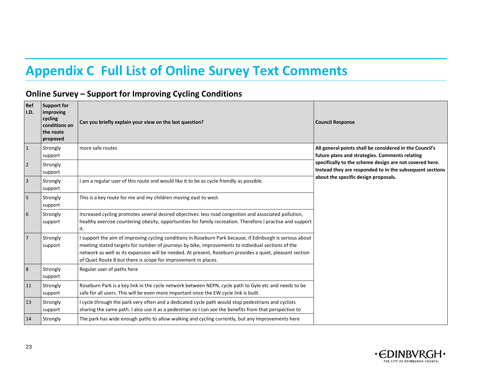## **Appendix C Full List of Online Survey Text Comments**

### **Online Survey – Support for Improving Cycling Conditions**

<span id="page-23-0"></span>

| Ref<br>I.D.    | Support for<br>improving<br>cycling<br>conditions on<br>the route<br>proposed | Can you briefly explain your view on the last question?                                                                                                                                                                                                                                                                                                                                      | <b>Council Response</b>                                                                                                                                     |
|----------------|-------------------------------------------------------------------------------|----------------------------------------------------------------------------------------------------------------------------------------------------------------------------------------------------------------------------------------------------------------------------------------------------------------------------------------------------------------------------------------------|-------------------------------------------------------------------------------------------------------------------------------------------------------------|
| $\overline{1}$ | Strongly<br>support                                                           | more safe routes                                                                                                                                                                                                                                                                                                                                                                             | All general points shall be considered in the Council's<br>future plans and strategies. Comments relating                                                   |
| $\overline{2}$ | Strongly<br>support                                                           |                                                                                                                                                                                                                                                                                                                                                                                              | specifically to the scheme design are not covered here.<br>Instead they are responded to in the subsequent sections<br>about the specific design proposals. |
| $\overline{3}$ | Strongly<br>support                                                           | am a regular user of this route and would like it to be as cycle friendly as possible.                                                                                                                                                                                                                                                                                                       |                                                                                                                                                             |
| $\overline{5}$ | Strongly<br>support                                                           | This is a key route for me and my children moving east to west.                                                                                                                                                                                                                                                                                                                              |                                                                                                                                                             |
| $6\phantom{a}$ | Strongly<br>support                                                           | Increased cycling promotes several desired objectives: less road congestion and associated pollution,<br>healthy exercise countering obesity, opportunities for family recreation. Therefore I practise and support<br>it.                                                                                                                                                                   |                                                                                                                                                             |
| $\overline{7}$ | Strongly<br>support                                                           | I support the aim of improving cycling conditions in Roseburn Park because, if Edinburgh is serious about<br>meeting stated targets for number of journeys by bike, improvements to individual sections of the<br>network as well as its expansion will be needed. At present, Roseburn provides a quiet, pleasant section<br>of Quiet Route 8 but there is scope for improvement in places. |                                                                                                                                                             |
| $\overline{8}$ | Strongly<br>support                                                           | Regular user of paths here                                                                                                                                                                                                                                                                                                                                                                   |                                                                                                                                                             |
| 11             | Strongly<br>support                                                           | Roseburn Park is a key link in the cycle network between NEPN, cycle path to Gyle etc and needs to be<br>safe for all users. This will be even more important once the EW cycle link is built.                                                                                                                                                                                               |                                                                                                                                                             |
| 13             | Strongly<br>support                                                           | I cycle through the park very often and a dedicated cycle path would stop pedestrians and cyclists<br>sharing the same path. I also use it as a pedestrian so I can see the benefits from that perspective to                                                                                                                                                                                |                                                                                                                                                             |
| 14             | Strongly                                                                      | The park has wide enough paths to allow walking and cycling currently, but any improvements here                                                                                                                                                                                                                                                                                             |                                                                                                                                                             |

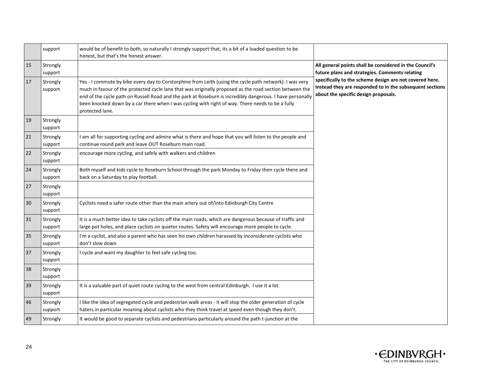|    | support             | would be of benefit to both, so naturally I strongly support that, its a bit of a loaded question to be<br>honest, but that's the honest answer.                                                                                                                                                                                                                                                                                                       |                                                                                                                                                             |
|----|---------------------|--------------------------------------------------------------------------------------------------------------------------------------------------------------------------------------------------------------------------------------------------------------------------------------------------------------------------------------------------------------------------------------------------------------------------------------------------------|-------------------------------------------------------------------------------------------------------------------------------------------------------------|
| 15 | Strongly<br>support |                                                                                                                                                                                                                                                                                                                                                                                                                                                        | All general points shall be considered in the Council's<br>future plans and strategies. Comments relating                                                   |
| 17 | Strongly<br>support | Yes - I commute by bike every day to Corstorphine from Leith (using the cycle path network). I was very<br>much in favour of the protected cycle lane that was originally proposed as the road section between the<br>end of the cycle path on Russell Road and the park at Roseburn is incredibly dangerous. I have personally<br>been knocked down by a car there when I was cycling with right of way. There needs to be a fully<br>protected lane. | specifically to the scheme design are not covered here.<br>Instead they are responded to in the subsequent sections<br>about the specific design proposals. |
| 19 | Strongly<br>support |                                                                                                                                                                                                                                                                                                                                                                                                                                                        |                                                                                                                                                             |
| 21 | Strongly<br>support | I am all for supporting cycling and admire what is there and hope that you will listen to the people and<br>continue round park and leave OUT Roseburn main road.                                                                                                                                                                                                                                                                                      |                                                                                                                                                             |
| 22 | Strongly<br>support | encourage more cycling, and safely with walkers and children                                                                                                                                                                                                                                                                                                                                                                                           |                                                                                                                                                             |
| 24 | Strongly<br>support | Both myself and kids cycle to Roseburn School through the park Monday to Friday then cycle there and<br>back on a Saturday to play football.                                                                                                                                                                                                                                                                                                           |                                                                                                                                                             |
| 27 | Strongly<br>support |                                                                                                                                                                                                                                                                                                                                                                                                                                                        |                                                                                                                                                             |
| 30 | Strongly<br>support | Cyclists need a safer route other than the main artery out of/into Edinburgh City Centre                                                                                                                                                                                                                                                                                                                                                               |                                                                                                                                                             |
| 31 | Strongly<br>support | It is a much better idea to take cyclists off the main roads, which are dangerous because of traffic and<br>large pot holes, and place cyclists on quieter routes. Safety will encourage more people to cycle.                                                                                                                                                                                                                                         |                                                                                                                                                             |
| 35 | Strongly<br>support | I'm a cyclist, and also a parent who has seen his own children harassed by inconsiderate cyclists who<br>don't slow down                                                                                                                                                                                                                                                                                                                               |                                                                                                                                                             |
| 37 | Strongly<br>support | I cycle and want my daughter to feel safe cycling too.                                                                                                                                                                                                                                                                                                                                                                                                 |                                                                                                                                                             |
| 38 | Strongly<br>support |                                                                                                                                                                                                                                                                                                                                                                                                                                                        |                                                                                                                                                             |
| 39 | Strongly<br>support | It is a valuable part of quiet route cycling to the west from central Edinburgh. I use it a lot.                                                                                                                                                                                                                                                                                                                                                       |                                                                                                                                                             |
| 46 | Strongly<br>support | I like the idea of segregated cycle and pedestrian walk areas - it will stop the older generation of cycle<br>haters in particular moaning about cyclists who they think travel at speed even though they don't.                                                                                                                                                                                                                                       |                                                                                                                                                             |
| 49 | Strongly            | It would be good to separate cyclists and pedestrians particularly around the path t-junction at the                                                                                                                                                                                                                                                                                                                                                   |                                                                                                                                                             |

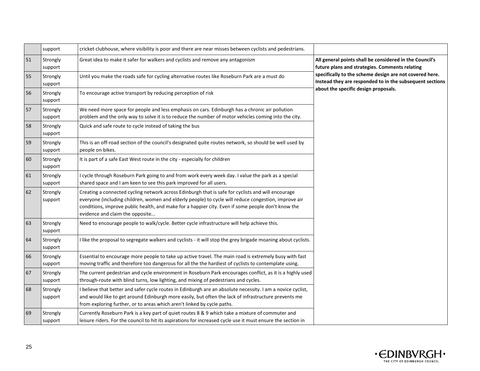|    | support             | cricket clubhouse, where visibility is poor and there are near misses between cyclists and pedestrians.                                                                                                                                                                                                                                             |                                                                                                                     |
|----|---------------------|-----------------------------------------------------------------------------------------------------------------------------------------------------------------------------------------------------------------------------------------------------------------------------------------------------------------------------------------------------|---------------------------------------------------------------------------------------------------------------------|
| 51 | Strongly<br>support | Great idea to make it safer for walkers and cyclists and remove any antagonism                                                                                                                                                                                                                                                                      | All general points shall be considered in the Council's<br>future plans and strategies. Comments relating           |
| 55 | Strongly<br>support | Until you make the roads safe for cycling alternative routes like Roseburn Park are a must do                                                                                                                                                                                                                                                       | specifically to the scheme design are not covered here.<br>Instead they are responded to in the subsequent sections |
| 56 | Strongly<br>support | To encourage active transport by reducing perception of risk                                                                                                                                                                                                                                                                                        | about the specific design proposals.                                                                                |
| 57 | Strongly<br>support | We need more space for people and less emphasis on cars. Edinburgh has a chronic air pollution<br>problem and the only way to solve it is to reduce the number of motor vehicles coming into the city.                                                                                                                                              |                                                                                                                     |
| 58 | Strongly<br>support | Quick and safe route to cycle instead of taking the bus                                                                                                                                                                                                                                                                                             |                                                                                                                     |
| 59 | Strongly<br>support | This is an off-road section of the council's designated quite routes network, so should be well used by<br>people on bikes.                                                                                                                                                                                                                         |                                                                                                                     |
| 60 | Strongly<br>support | It is part of a safe East West route in the city - especially for children                                                                                                                                                                                                                                                                          |                                                                                                                     |
| 61 | Strongly<br>support | I cycle through Roseburn Park going to and from work every week day. I value the park as a special<br>shared space and I am keen to see this park improved for all users.                                                                                                                                                                           |                                                                                                                     |
| 62 | Strongly<br>support | Creating a connected cycling network across Edinburgh that is safe for cyclists and will encourage<br>everyone (including children, women and elderly people) to cycle will reduce congestion, improve air<br>conditions, improve public health, and make for a happier city. Even if some people don't know the<br>evidence and claim the opposite |                                                                                                                     |
| 63 | Strongly<br>support | Need to encourage people to walk/cycle. Better cycle infrastructure will help achieve this.                                                                                                                                                                                                                                                         |                                                                                                                     |
| 64 | Strongly<br>support | I like the proposal to segregate walkers and cyclists - it will stop the grey brigade moaning about cyclists.                                                                                                                                                                                                                                       |                                                                                                                     |
| 66 | Strongly<br>support | Essential to encourage more people to take up active travel. The main road is extremely busy with fast<br>moving traffic and therefore too dangerous for all the the hardiest of cyclists to contemplate using.                                                                                                                                     |                                                                                                                     |
| 67 | Strongly<br>support | The current pedestrian and cycle environment in Roseburn Park encourages conflict, as it is a highly used<br>through-route with blind turns, low lighting, and mixing of pedestrians and cycles.                                                                                                                                                    |                                                                                                                     |
| 68 | Strongly<br>support | I believe that better and safer cycle routes in Edinburgh are an absolute necessity. I am a novice cyclist,<br>and would like to get around Edinburgh more easily, but often the lack of infrastructure prevents me<br>from exploring further, or to areas which aren't linked by cycle paths.                                                      |                                                                                                                     |
| 69 | Strongly<br>support | Currently Roseburn Park is a key part of quiet routes 8 & 9 which take a mixture of commuter and<br>leisure riders. For the council to hit its aspirations for increased cycle use it must ensure the section in                                                                                                                                    |                                                                                                                     |

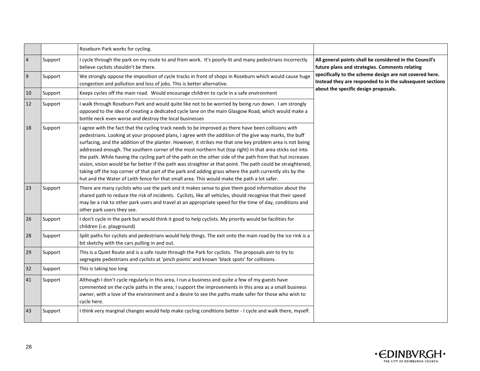|                  |         | Roseburn Park works for cycling.                                                                                                                                                                                                                                                                                                                                                                                                                                                                                                                                                                                                                                                                                                                                                                                                                                               |                                                                                                                     |
|------------------|---------|--------------------------------------------------------------------------------------------------------------------------------------------------------------------------------------------------------------------------------------------------------------------------------------------------------------------------------------------------------------------------------------------------------------------------------------------------------------------------------------------------------------------------------------------------------------------------------------------------------------------------------------------------------------------------------------------------------------------------------------------------------------------------------------------------------------------------------------------------------------------------------|---------------------------------------------------------------------------------------------------------------------|
| $\sqrt{4}$       | Support | I cycle through the park on my route to and from work. It's poorly-lit and many pedestrians incorrectly<br>believe cyclists shouldn't be there.                                                                                                                                                                                                                                                                                                                                                                                                                                                                                                                                                                                                                                                                                                                                | All general points shall be considered in the Council's<br>future plans and strategies. Comments relating           |
| $\boldsymbol{9}$ | Support | We strongly oppose the imposition of cycle tracks in front of shops in Roseburn which would cause huge<br>congestion and pollution and loss of jobs. This is better alternative.                                                                                                                                                                                                                                                                                                                                                                                                                                                                                                                                                                                                                                                                                               | specifically to the scheme design are not covered here.<br>Instead they are responded to in the subsequent sections |
| 10               | Support | Keeps cycles off the main road. Would encourage children to cycle in a safe environment                                                                                                                                                                                                                                                                                                                                                                                                                                                                                                                                                                                                                                                                                                                                                                                        | about the specific design proposals.                                                                                |
| 12               | Support | I walk through Roseburn Park and would quite like not to be worried by being run down. I am strongly<br>opposed to the idea of creating a dedicated cycle lane on the main Glasgow Road, which would make a<br>bottle neck even worse and destroy the local businesses                                                                                                                                                                                                                                                                                                                                                                                                                                                                                                                                                                                                         |                                                                                                                     |
| 18               | Support | I agree with the fact that the cycling track needs to be improved as there have been collisions with<br>pedestrians. Looking at your proposed plans, I agree with the addition of the give way marks, the buff<br>surfacing, and the addition of the planter. However, it strikes me that one key problem area is not being<br>addressed enough. The southern corner of the most northern hut (top right) in that area sticks out into<br>the path. While having the cycling part of the path on the other side of the path from that hut increases<br>vision, vision would be far better if the path was straighter at that point. The path could be straightened,<br>taking off the top corner of that part of the park and adding grass where the path currently sits by the<br>hut and the Water of Leith fence for that small area. This would make the path a lot safer. |                                                                                                                     |
| 23               | Support | There are many cyclists who use the park and it makes sense to give them good information about the<br>shared path to reduce the risk of incidents. Cyclists, like all vehicles, should recognise that their speed<br>may be a risk to other park users and travel at an appropriate speed for the time of day, conditions and<br>other park users they see.                                                                                                                                                                                                                                                                                                                                                                                                                                                                                                                   |                                                                                                                     |
| 26               | Support | I don't cycle in the park but would think it good to help cyclists. My priority would be facilities for<br>children (i.e. playground)                                                                                                                                                                                                                                                                                                                                                                                                                                                                                                                                                                                                                                                                                                                                          |                                                                                                                     |
| 28               | Support | Split paths for cyclists and pedestrians would help things. The exit onto the main road by the ice rink is a<br>bit sketchy with the cars pulling in and out.                                                                                                                                                                                                                                                                                                                                                                                                                                                                                                                                                                                                                                                                                                                  |                                                                                                                     |
| 29               | Support | This is a Quiet Route and is a safe route through the Park for cyclists. The proposals aim to try to<br>segregate pedestrians and cyclists at 'pinch points' and known 'black spots' for collisions.                                                                                                                                                                                                                                                                                                                                                                                                                                                                                                                                                                                                                                                                           |                                                                                                                     |
| 32               | Support | This is taking too long                                                                                                                                                                                                                                                                                                                                                                                                                                                                                                                                                                                                                                                                                                                                                                                                                                                        |                                                                                                                     |
| 41               | Support | Although I don't cycle regularly in this area, I run a business and quite a few of my guests have<br>commented on the cycle paths in the area; I support the improvements in this area as a small business<br>owner, with a love of the environment and a desire to see the paths made safer for those who wish to<br>cycle here.                                                                                                                                                                                                                                                                                                                                                                                                                                                                                                                                              |                                                                                                                     |
| 43               | Support | I think very marginal changes would help make cycling conditions better - I cycle and walk there, myself.                                                                                                                                                                                                                                                                                                                                                                                                                                                                                                                                                                                                                                                                                                                                                                      |                                                                                                                     |

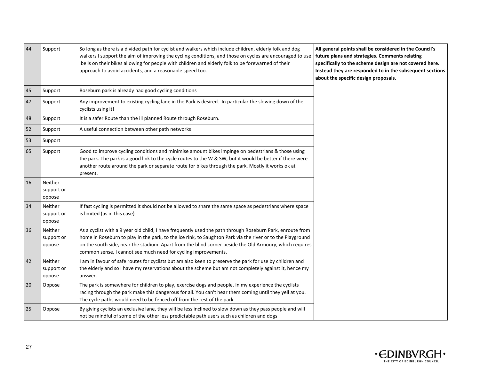| 44 | Support                         | So long as there is a divided path for cyclist and walkers which include children, elderly folk and dog<br>walkers I support the aim of improving the cycling conditions, and those on cycles are encouraged to use<br>bells on their bikes allowing for people with children and elderly folk to be forewarned of their<br>approach to avoid accidents, and a reasonable speed too.                 | All general points shall be considered in the Council's<br>future plans and strategies. Comments relating<br>specifically to the scheme design are not covered here.<br>Instead they are responded to in the subsequent sections<br>about the specific design proposals. |
|----|---------------------------------|------------------------------------------------------------------------------------------------------------------------------------------------------------------------------------------------------------------------------------------------------------------------------------------------------------------------------------------------------------------------------------------------------|--------------------------------------------------------------------------------------------------------------------------------------------------------------------------------------------------------------------------------------------------------------------------|
| 45 | Support                         | Roseburn park is already had good cycling conditions                                                                                                                                                                                                                                                                                                                                                 |                                                                                                                                                                                                                                                                          |
| 47 | Support                         | Any improvement to existing cycling lane in the Park is desired. In particular the slowing down of the<br>cyclists using it!                                                                                                                                                                                                                                                                         |                                                                                                                                                                                                                                                                          |
| 48 | Support                         | It is a safer Route than the ill planned Route through Roseburn.                                                                                                                                                                                                                                                                                                                                     |                                                                                                                                                                                                                                                                          |
| 52 | Support                         | A useful connection between other path networks                                                                                                                                                                                                                                                                                                                                                      |                                                                                                                                                                                                                                                                          |
| 53 | Support                         |                                                                                                                                                                                                                                                                                                                                                                                                      |                                                                                                                                                                                                                                                                          |
| 65 | Support                         | Good to improve cycling conditions and minimise amount bikes impinge on pedestrians & those using<br>the park. The park is a good link to the cycle routes to the W & SW, but it would be better if there were<br>another route around the park or separate route for bikes through the park. Mostly it works ok at<br>present.                                                                      |                                                                                                                                                                                                                                                                          |
| 16 | Neither<br>support or<br>oppose |                                                                                                                                                                                                                                                                                                                                                                                                      |                                                                                                                                                                                                                                                                          |
| 34 | Neither<br>support or<br>oppose | If fast cycling is permitted it should not be allowed to share the same space as pedestrians where space<br>is limited (as in this case)                                                                                                                                                                                                                                                             |                                                                                                                                                                                                                                                                          |
| 36 | Neither<br>support or<br>oppose | As a cyclist with a 9 year old child, I have frequently used the path through Roseburn Park, enroute from<br>home in Roseburn to play in the park, to the ice rink, to Saughton Park via the river or to the Playground<br>on the south side, near the stadium. Apart from the blind corner beside the Old Armoury, which requires<br>common sense, I cannot see much need for cycling improvements. |                                                                                                                                                                                                                                                                          |
| 42 | Neither<br>support or<br>oppose | I am in favour of safe routes for cyclists but am also keen to preserve the park for use by children and<br>the elderly and so I have my reservations about the scheme but am not completely against it, hence my<br>answer.                                                                                                                                                                         |                                                                                                                                                                                                                                                                          |
| 20 | Oppose                          | The park is somewhere for children to play, exercise dogs and people. In my experience the cyclists<br>racing through the park make this dangerous for all. You can't hear them coming until they yell at you.<br>The cycle paths would need to be fenced off from the rest of the park                                                                                                              |                                                                                                                                                                                                                                                                          |
| 25 | Oppose                          | By giving cyclists an exclusive lane, they will be less inclined to slow down as they pass people and will<br>not be mindful of some of the other less predictable path users such as children and dogs                                                                                                                                                                                              |                                                                                                                                                                                                                                                                          |

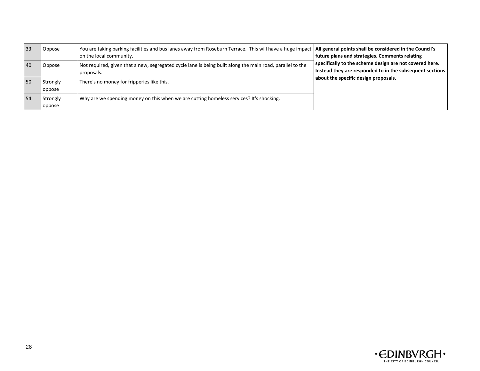| 33 | Oppose             | You are taking parking facilities and bus lanes away from Roseburn Terrace. This will have a huge impact   All general points shall be considered in the Council's<br>on the local community. | future plans and strategies. Comments relating                                                                      |
|----|--------------------|-----------------------------------------------------------------------------------------------------------------------------------------------------------------------------------------------|---------------------------------------------------------------------------------------------------------------------|
| 40 | Oppose             | Not required, given that a new, segregated cycle lane is being built along the main road, parallel to the<br>proposals.                                                                       | specifically to the scheme design are not covered here.<br>Instead they are responded to in the subsequent sections |
| 50 | Strongly<br>oppose | There's no money for fripperies like this.                                                                                                                                                    | about the specific design proposals.                                                                                |
| 54 | Strongly<br>oppose | Why are we spending money on this when we are cutting homeless services? It's shocking.                                                                                                       |                                                                                                                     |

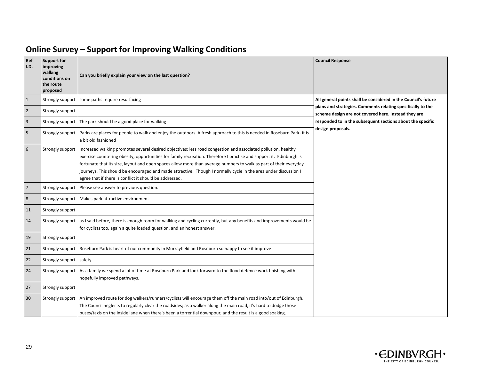| Ref<br>I.D.             | <b>Support for</b><br>improving<br>walking<br>conditions on<br>the route<br>proposed | Can you briefly explain your view on the last question?                                                                                                                                                                                                                                                                                                                                                                                                                                                                                 | <b>Council Response</b>                                                                                             |
|-------------------------|--------------------------------------------------------------------------------------|-----------------------------------------------------------------------------------------------------------------------------------------------------------------------------------------------------------------------------------------------------------------------------------------------------------------------------------------------------------------------------------------------------------------------------------------------------------------------------------------------------------------------------------------|---------------------------------------------------------------------------------------------------------------------|
| $\mathbf{1}$            | Strongly support                                                                     | some paths require resurfacing                                                                                                                                                                                                                                                                                                                                                                                                                                                                                                          | All general points shall be considered in the Council's future                                                      |
| $\overline{2}$          | Strongly support                                                                     |                                                                                                                                                                                                                                                                                                                                                                                                                                                                                                                                         | plans and strategies. Comments relating specifically to the<br>scheme design are not covered here. Instead they are |
| $\overline{\mathbf{3}}$ | Strongly support                                                                     | The park should be a good place for walking                                                                                                                                                                                                                                                                                                                                                                                                                                                                                             | responded to in the subsequent sections about the specific                                                          |
| 5                       | Strongly support                                                                     | Parks are places for people to walk and enjoy the outdoors. A fresh approach to this is needed in Roseburn Park- it is<br>a bit old fashioned                                                                                                                                                                                                                                                                                                                                                                                           | design proposals.                                                                                                   |
| 6                       | Strongly support                                                                     | Increased walking promotes several desired objectives: less road congestion and associated pollution, healthy<br>exercise countering obesity, opportunities for family recreation. Therefore I practise and support it. Edinburgh is<br>fortunate that its size, layout and open spaces allow more than average numbers to walk as part of their everyday<br>journeys. This should be encouraged and made attractive. Though I normally cycle in the area under discussion I<br>agree that if there is conflict it should be addressed. |                                                                                                                     |
| $7\overline{ }$         | Strongly support                                                                     | Please see answer to previous question.                                                                                                                                                                                                                                                                                                                                                                                                                                                                                                 |                                                                                                                     |
| 8                       | Strongly support                                                                     | Makes park attractive environment                                                                                                                                                                                                                                                                                                                                                                                                                                                                                                       |                                                                                                                     |
| 11                      | Strongly support                                                                     |                                                                                                                                                                                                                                                                                                                                                                                                                                                                                                                                         |                                                                                                                     |
| 14                      | Strongly support                                                                     | as I said before, there is enough room for walking and cycling currently, but any benefits and improvements would be<br>for cyclists too, again a quite loaded question, and an honest answer.                                                                                                                                                                                                                                                                                                                                          |                                                                                                                     |
| 19                      | Strongly support                                                                     |                                                                                                                                                                                                                                                                                                                                                                                                                                                                                                                                         |                                                                                                                     |
| 21                      | Strongly support                                                                     | Roseburn Park is heart of our community in Murrayfield and Roseburn so happy to see it improve                                                                                                                                                                                                                                                                                                                                                                                                                                          |                                                                                                                     |
| 22                      | Strongly support safety                                                              |                                                                                                                                                                                                                                                                                                                                                                                                                                                                                                                                         |                                                                                                                     |
| 24                      | Strongly support                                                                     | As a family we spend a lot of time at Roseburn Park and look forward to the flood defence work finishing with<br>hopefully improved pathways.                                                                                                                                                                                                                                                                                                                                                                                           |                                                                                                                     |
| 27                      | Strongly support                                                                     |                                                                                                                                                                                                                                                                                                                                                                                                                                                                                                                                         |                                                                                                                     |
| 30                      | Strongly support                                                                     | An improved route for dog walkers/runners/cyclists will encourage them off the main road into/out of Edinburgh.<br>The Council neglects to regularly clear the roadsides; as a walker along the main road, it's hard to dodge those<br>buses/taxis on the inside lane when there's been a torrential downpour, and the result is a good soaking.                                                                                                                                                                                        |                                                                                                                     |

### **Online Survey – Support for Improving Walking Conditions**

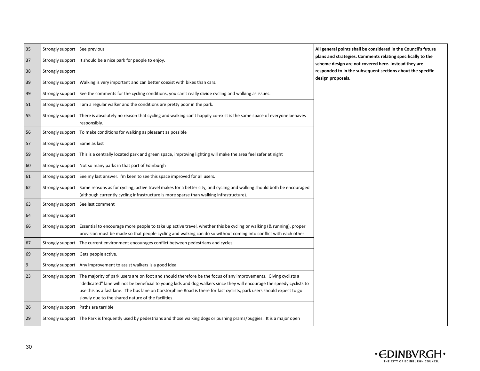| 35 | Strongly support | See previous                                                                                                                                                                                                                                                                                                                                                                                                             | All general points shall be considered in the Council's future                                                                                                                    |
|----|------------------|--------------------------------------------------------------------------------------------------------------------------------------------------------------------------------------------------------------------------------------------------------------------------------------------------------------------------------------------------------------------------------------------------------------------------|-----------------------------------------------------------------------------------------------------------------------------------------------------------------------------------|
| 37 | Strongly support | It should be a nice park for people to enjoy.                                                                                                                                                                                                                                                                                                                                                                            | plans and strategies. Comments relating specifically to the<br>scheme design are not covered here. Instead they are<br>responded to in the subsequent sections about the specific |
| 38 | Strongly support |                                                                                                                                                                                                                                                                                                                                                                                                                          |                                                                                                                                                                                   |
| 39 | Strongly support | Walking is very important and can better coexist with bikes than cars.                                                                                                                                                                                                                                                                                                                                                   | design proposals.                                                                                                                                                                 |
| 49 | Strongly support | See the comments for the cycling conditions, you can't really divide cycling and walking as issues.                                                                                                                                                                                                                                                                                                                      |                                                                                                                                                                                   |
| 51 | Strongly support | I am a regular walker and the conditions are pretty poor in the park.                                                                                                                                                                                                                                                                                                                                                    |                                                                                                                                                                                   |
| 55 | Strongly support | There is absolutely no reason that cycling and walking can't happily co-exist is the same space of everyone behaves<br>responsibly.                                                                                                                                                                                                                                                                                      |                                                                                                                                                                                   |
| 56 | Strongly support | To make conditions for walking as pleasant as possible                                                                                                                                                                                                                                                                                                                                                                   |                                                                                                                                                                                   |
| 57 | Strongly support | Same as last                                                                                                                                                                                                                                                                                                                                                                                                             |                                                                                                                                                                                   |
| 59 | Strongly support | This is a centrally located park and green space, improving lighting will make the area feel safer at night                                                                                                                                                                                                                                                                                                              |                                                                                                                                                                                   |
| 60 | Strongly support | Not so many parks in that part of Edinburgh                                                                                                                                                                                                                                                                                                                                                                              |                                                                                                                                                                                   |
| 61 | Strongly support | See my last answer. I'm keen to see this space improved for all users.                                                                                                                                                                                                                                                                                                                                                   |                                                                                                                                                                                   |
| 62 | Strongly support | Same reasons as for cycling; active travel makes for a better city, and cycling and walking should both be encouraged<br>(although currently cycling infrastructure is more sparse than walking infrastructure).                                                                                                                                                                                                         |                                                                                                                                                                                   |
| 63 | Strongly support | See last comment                                                                                                                                                                                                                                                                                                                                                                                                         |                                                                                                                                                                                   |
| 64 | Strongly support |                                                                                                                                                                                                                                                                                                                                                                                                                          |                                                                                                                                                                                   |
| 66 | Strongly support | Essential to encourage more people to take up active travel, whether this be cycling or walking (& running), proper<br>provision must be made so that people cycling and walking can do so without coming into conflict with each other                                                                                                                                                                                  |                                                                                                                                                                                   |
| 67 | Strongly support | The current environment encourages conflict between pedestrians and cycles                                                                                                                                                                                                                                                                                                                                               |                                                                                                                                                                                   |
| 69 | Strongly support | Gets people active.                                                                                                                                                                                                                                                                                                                                                                                                      |                                                                                                                                                                                   |
| 9  | Strongly support | Any improvement to assist walkers is a good idea.                                                                                                                                                                                                                                                                                                                                                                        |                                                                                                                                                                                   |
| 23 | Strongly support | The majority of park users are on foot and should therefore be the focus of any improvements. Giving cyclists a<br>"dedicated" lane will not be beneficial to young kids and dog walkers since they will encourage the speedy cyclists to<br>use this as a fast lane. The bus lane on Corstorphine Road is there for fast cyclists, park users should expect to go<br>slowly due to the shared nature of the facilities. |                                                                                                                                                                                   |
| 26 | Strongly support | Paths are terrible                                                                                                                                                                                                                                                                                                                                                                                                       |                                                                                                                                                                                   |
| 29 | Strongly support | The Park is frequently used by pedestrians and those walking dogs or pushing prams/buggies. It is a major open                                                                                                                                                                                                                                                                                                           |                                                                                                                                                                                   |

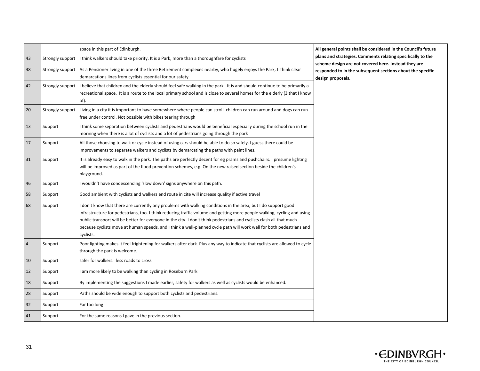|                |                  | space in this part of Edinburgh.                                                                                                                                                                                                                                                                                                                                                                                                                                                                      | All general points shall be considered in the Council's future                                                                                                                                         |
|----------------|------------------|-------------------------------------------------------------------------------------------------------------------------------------------------------------------------------------------------------------------------------------------------------------------------------------------------------------------------------------------------------------------------------------------------------------------------------------------------------------------------------------------------------|--------------------------------------------------------------------------------------------------------------------------------------------------------------------------------------------------------|
| 43             | Strongly support | I think walkers should take priority. It is a Park, more than a thoroughfare for cyclists                                                                                                                                                                                                                                                                                                                                                                                                             | plans and strategies. Comments relating specifically to the<br>scheme design are not covered here. Instead they are<br>responded to in the subsequent sections about the specific<br>design proposals. |
| 48             | Strongly support | As a Pensioner living in one of the three Retirement complexes nearby, who hugely enjoys the Park, I think clear<br>demarcations lines from cyclists essential for our safety                                                                                                                                                                                                                                                                                                                         |                                                                                                                                                                                                        |
| 42             | Strongly support | I believe that children and the elderly should feel safe walking in the park. It is and should continue to be primarily a<br>recreational space. It is a route to the local primary school and is close to several homes for the elderly (3 that I know<br>of).                                                                                                                                                                                                                                       |                                                                                                                                                                                                        |
| 20             | Strongly support | Living in a city it is important to have somewhere where people can stroll, children can run around and dogs can run<br>free under control. Not possible with bikes tearing through                                                                                                                                                                                                                                                                                                                   |                                                                                                                                                                                                        |
| 13             | Support          | I think some separation between cyclists and pedestrians would be beneficial especially during the school run in the<br>morning when there is a lot of cyclists and a lot of pedestrians going through the park                                                                                                                                                                                                                                                                                       |                                                                                                                                                                                                        |
| 17             | Support          | All those choosing to walk or cycle instead of using cars should be able to do so safely. I guess there could be<br>improvements to separate walkers and cyclists by demarcating the paths with paint lines.                                                                                                                                                                                                                                                                                          |                                                                                                                                                                                                        |
| 31             | Support          | It is already easy to walk in the park. The paths are perfectly decent for eg prams and pushchairs. I presume lighting<br>will be improved as part of the flood prevention schemes, e.g. On the new raised section beside the children's<br>playground.                                                                                                                                                                                                                                               |                                                                                                                                                                                                        |
| 46             | Support          | I wouldn't have condescending 'slow down' signs anywhere on this path.                                                                                                                                                                                                                                                                                                                                                                                                                                |                                                                                                                                                                                                        |
| 58             | Support          | Good ambient with cyclists and walkers end route in cite will increase quality if active travel                                                                                                                                                                                                                                                                                                                                                                                                       |                                                                                                                                                                                                        |
| 68             | Support          | I don't know that there are currently any problems with walking conditions in the area, but I do support good<br>infrastructure for pedestrians, too. I think reducing traffic volume and getting more people walking, cycling and using<br>public transport will be better for everyone in the city. I don't think pedestrians and cyclists clash all that much<br>because cyclists move at human speeds, and I think a well-planned cycle path will work well for both pedestrians and<br>cyclists. |                                                                                                                                                                                                        |
| $\overline{4}$ | Support          | Poor lighting makes it feel frightening for walkers after dark. Plus any way to indicate that cyclists are allowed to cycle<br>through the park is welcome.                                                                                                                                                                                                                                                                                                                                           |                                                                                                                                                                                                        |
| 10             | Support          | safer for walkers. less roads to cross                                                                                                                                                                                                                                                                                                                                                                                                                                                                |                                                                                                                                                                                                        |
| 12             | Support          | I am more likely to be walking than cycling in Roseburn Park                                                                                                                                                                                                                                                                                                                                                                                                                                          |                                                                                                                                                                                                        |
| 18             | Support          | By implementing the suggestions I made earlier, safety for walkers as well as cyclists would be enhanced.                                                                                                                                                                                                                                                                                                                                                                                             |                                                                                                                                                                                                        |
| 28             | Support          | Paths should be wide enough to support both cyclists and pedestrians.                                                                                                                                                                                                                                                                                                                                                                                                                                 |                                                                                                                                                                                                        |
| 32             | Support          | Far too long                                                                                                                                                                                                                                                                                                                                                                                                                                                                                          |                                                                                                                                                                                                        |
| 41             | Support          | For the same reasons I gave in the previous section.                                                                                                                                                                                                                                                                                                                                                                                                                                                  |                                                                                                                                                                                                        |

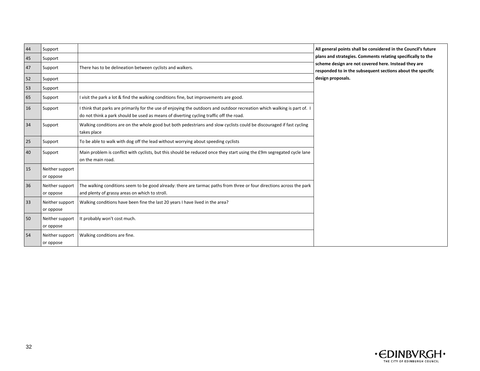| 44 | Support                      |                                                                                                                                                                                                                    | All general points shall be considered in the Council's future                                                     |
|----|------------------------------|--------------------------------------------------------------------------------------------------------------------------------------------------------------------------------------------------------------------|--------------------------------------------------------------------------------------------------------------------|
| 45 | Support                      |                                                                                                                                                                                                                    | plans and strategies. Comments relating specifically to the                                                        |
| 47 | Support                      | There has to be delineation between cyclists and walkers.                                                                                                                                                          | scheme design are not covered here. Instead they are<br>responded to in the subsequent sections about the specific |
| 52 | Support                      |                                                                                                                                                                                                                    | design proposals.                                                                                                  |
| 53 | Support                      |                                                                                                                                                                                                                    |                                                                                                                    |
| 65 | Support                      | I visit the park a lot & find the walking conditions fine, but improvements are good.                                                                                                                              |                                                                                                                    |
| 16 | Support                      | I think that parks are primarily for the use of enjoying the outdoors and outdoor recreation which walking is part of. I<br>do not think a park should be used as means of diverting cycling traffic off the road. |                                                                                                                    |
| 34 | Support                      | Walking conditions are on the whole good but both pedestrians and slow cyclists could be discouraged if fast cycling<br>takes place                                                                                |                                                                                                                    |
| 25 | Support                      | To be able to walk with dog off the lead without worrying about speeding cyclists                                                                                                                                  |                                                                                                                    |
| 40 | Support                      | Main problem is conflict with cyclists, but this should be reduced once they start using the £9m segregated cycle lane<br>on the main road.                                                                        |                                                                                                                    |
| 15 | Neither support<br>or oppose |                                                                                                                                                                                                                    |                                                                                                                    |
| 36 | Neither support<br>or oppose | The walking conditions seem to be good already: there are tarmac paths from three or four directions across the park<br>and plenty of grassy areas on which to stroll.                                             |                                                                                                                    |
| 33 | Neither support<br>or oppose | Walking conditions have been fine the last 20 years I have lived in the area?                                                                                                                                      |                                                                                                                    |
| 50 | Neither support<br>or oppose | It probably won't cost much.                                                                                                                                                                                       |                                                                                                                    |
| 54 | Neither support<br>or oppose | Walking conditions are fine.                                                                                                                                                                                       |                                                                                                                    |

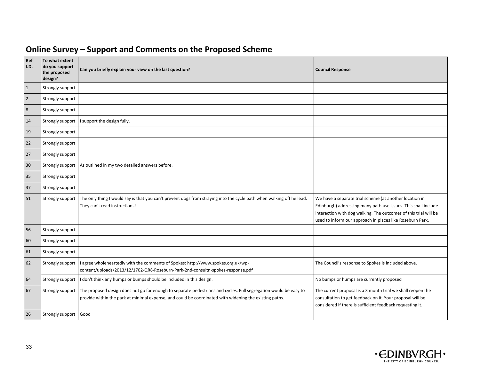| Online Survey – Support and Comments on the Proposed Scheme |  |  |  |  |
|-------------------------------------------------------------|--|--|--|--|
|-------------------------------------------------------------|--|--|--|--|

| Ref<br>I.D.    | To what extent<br>do you support<br>the proposed<br>design? | Can you briefly explain your view on the last question?                                                                                                                                                                    | <b>Council Response</b>                                                                                                                                                                                                                                    |
|----------------|-------------------------------------------------------------|----------------------------------------------------------------------------------------------------------------------------------------------------------------------------------------------------------------------------|------------------------------------------------------------------------------------------------------------------------------------------------------------------------------------------------------------------------------------------------------------|
| $\mathbf{1}$   | Strongly support                                            |                                                                                                                                                                                                                            |                                                                                                                                                                                                                                                            |
| $\overline{2}$ | Strongly support                                            |                                                                                                                                                                                                                            |                                                                                                                                                                                                                                                            |
| 8              | Strongly support                                            |                                                                                                                                                                                                                            |                                                                                                                                                                                                                                                            |
| 14             | Strongly support                                            | I support the design fully.                                                                                                                                                                                                |                                                                                                                                                                                                                                                            |
| 19             | Strongly support                                            |                                                                                                                                                                                                                            |                                                                                                                                                                                                                                                            |
| 22             | Strongly support                                            |                                                                                                                                                                                                                            |                                                                                                                                                                                                                                                            |
| 27             | Strongly support                                            |                                                                                                                                                                                                                            |                                                                                                                                                                                                                                                            |
| 30             | Strongly support                                            | As outlined in my two detailed answers before.                                                                                                                                                                             |                                                                                                                                                                                                                                                            |
| 35             | Strongly support                                            |                                                                                                                                                                                                                            |                                                                                                                                                                                                                                                            |
| 37             | Strongly support                                            |                                                                                                                                                                                                                            |                                                                                                                                                                                                                                                            |
| 51             | Strongly support                                            | The only thing I would say is that you can't prevent dogs from straying into the cycle path when walking off he lead.<br>They can't read instructions!                                                                     | We have a separate trial scheme (at another location in<br>Edinburgh) addressing many path use issues. This shall include<br>interaction with dog walking. The outcomes of this trial will be<br>used to inform our approach in places like Roseburn Park. |
| 56             | Strongly support                                            |                                                                                                                                                                                                                            |                                                                                                                                                                                                                                                            |
| 60             | Strongly support                                            |                                                                                                                                                                                                                            |                                                                                                                                                                                                                                                            |
| 61             | Strongly support                                            |                                                                                                                                                                                                                            |                                                                                                                                                                                                                                                            |
| 62             | Strongly support                                            | agree wholeheartedly with the comments of Spokes: http://www.spokes.org.uk/wp-<br>content/uploads/2013/12/1702-QR8-Roseburn-Park-2nd-consultn-spokes-response.pdf                                                          | The Council's response to Spokes is included above.                                                                                                                                                                                                        |
| 64             | Strongly support                                            | I don't think any humps or bumps should be included in this design.                                                                                                                                                        | No bumps or humps are currently proposed                                                                                                                                                                                                                   |
| 67             | Strongly support                                            | The proposed design does not go far enough to separate pedestrians and cycles. Full segregation would be easy to<br>provide within the park at minimal expense, and could be coordinated with widening the existing paths. | The current proposal is a 3 month trial we shall reopen the<br>consultation to get feedback on it. Your proposal will be<br>considered if there is sufficient feedback requesting it.                                                                      |
| 26             | Strongly support                                            | Good                                                                                                                                                                                                                       |                                                                                                                                                                                                                                                            |

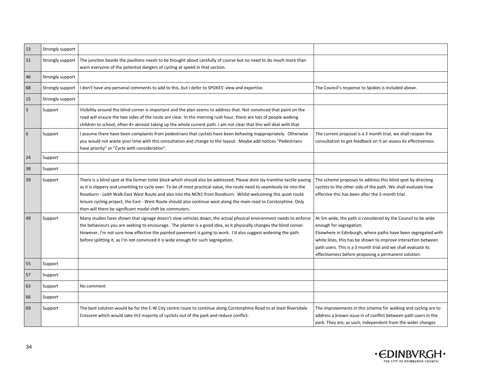| 13             | Strongly support |                                                                                                                                                                                                                                                                                                                                                                                                                                                                                                                                                         |                                                                                                                                                                                                                                                                                                                                                    |
|----------------|------------------|---------------------------------------------------------------------------------------------------------------------------------------------------------------------------------------------------------------------------------------------------------------------------------------------------------------------------------------------------------------------------------------------------------------------------------------------------------------------------------------------------------------------------------------------------------|----------------------------------------------------------------------------------------------------------------------------------------------------------------------------------------------------------------------------------------------------------------------------------------------------------------------------------------------------|
| 31             | Strongly support | The junction beside the pavilions needs to be thought about carefully of course but no need to do much more than<br>warn everyone of the potential dangers of cycling at speed in that section.                                                                                                                                                                                                                                                                                                                                                         |                                                                                                                                                                                                                                                                                                                                                    |
| 46             | Strongly support |                                                                                                                                                                                                                                                                                                                                                                                                                                                                                                                                                         |                                                                                                                                                                                                                                                                                                                                                    |
| 68             | Strongly support | don't have any personal comments to add to this, but I defer to SPOKES' view and expertise.                                                                                                                                                                                                                                                                                                                                                                                                                                                             | The Council's response to Spokes is included above.                                                                                                                                                                                                                                                                                                |
| 15             | Strongly support |                                                                                                                                                                                                                                                                                                                                                                                                                                                                                                                                                         |                                                                                                                                                                                                                                                                                                                                                    |
| $\overline{3}$ | Support          | Visibility around the blind corner is important and the plan seems to address that. Not convinced that paint on the<br>road will ensure the two sides of the route are clear. In the morning rush hour, there are lots of people walking<br>children to school, often 4+ abreast taking up the whole current path. I am not clear that this will deal with that.                                                                                                                                                                                        |                                                                                                                                                                                                                                                                                                                                                    |
| 6              | Support          | I assume there have been complaints from pedestrians that cyclists have been behaving inappropriately. Otherwise<br>you would not waste your time with this consultation and change to the layout. Maybe add notices "Pedestrians<br>have priority" or "Cycle with consideration".                                                                                                                                                                                                                                                                      | The current proposal is a 3 month trial, we shall reopen the<br>consultation to get feedback on it an assess its effectiveness.                                                                                                                                                                                                                    |
| 24             | Support          |                                                                                                                                                                                                                                                                                                                                                                                                                                                                                                                                                         |                                                                                                                                                                                                                                                                                                                                                    |
| 38             | Support          |                                                                                                                                                                                                                                                                                                                                                                                                                                                                                                                                                         |                                                                                                                                                                                                                                                                                                                                                    |
| 39             | Support          | There is a blind spot at the former toilet block which should also be addressed. Please dont lay tramline tactile paving<br>as it is slippery and unsettling to cycle over. To be of most practical value, the route need to seamlessly tie into the<br>Roseburn - Leith Walk East West Route and also into the NCN1 from Roseburn. Whilst welcoming this quiet route<br>leisure cycling project, the East - West Route should also continue west along the main road to Corstorphine. Only<br>then will there be significant modal shift be commuters. | The scheme proposes to address this blind spot by directing<br>cyclists to the other side of the path. We shall evaluate how<br>effective this has been after the 3 month trial.                                                                                                                                                                   |
| 49             | Support          | Many studies have shown that signage doesn't slow vehicles down, the actual physical environment needs to enforce<br>the behaviours you are seeking to encourage. The planter is a good idea, as it physically changes the blind corner.<br>However, I'm not sure how effective the painted pavement is going to work. I'd also suggest widening the path<br>before splitting it, as I'm not convinced it is wide enough for such segregation.                                                                                                          | At 5m wide, the path is considered by the Council to be wide<br>enough for segregation.<br>Elsewhere in Edinburgh, where paths have been segregated with<br>white lines, this has be shown to improve interaction between<br>path users. This is a 3 month trial and we shall evaluate its<br>effectiveness before proposing a permanent solution. |
| 55             | Support          |                                                                                                                                                                                                                                                                                                                                                                                                                                                                                                                                                         |                                                                                                                                                                                                                                                                                                                                                    |
| 57             | Support          |                                                                                                                                                                                                                                                                                                                                                                                                                                                                                                                                                         |                                                                                                                                                                                                                                                                                                                                                    |
| 63             | Support          | No comment                                                                                                                                                                                                                                                                                                                                                                                                                                                                                                                                              |                                                                                                                                                                                                                                                                                                                                                    |
| 66             | Support          |                                                                                                                                                                                                                                                                                                                                                                                                                                                                                                                                                         |                                                                                                                                                                                                                                                                                                                                                    |
| 69             | Support          | The best solution would be for the E-W City centre route to continue along Corstorphine Road to at least Riversdale<br>Crescent which would take th3 majority of cyclists out of the park and reduce conflict.                                                                                                                                                                                                                                                                                                                                          | The improvements in this scheme for walking and cycling are to<br>address a known issue in of conflict between path users in the<br>park. They are, as such, independent from the wider changes                                                                                                                                                    |

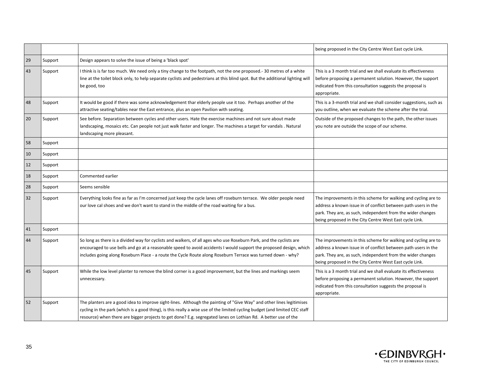|    |         |                                                                                                                                                                                                                                                                                                                                                                       | being proposed in the City Centre West East cycle Link.                                                                                                                                                                                                    |
|----|---------|-----------------------------------------------------------------------------------------------------------------------------------------------------------------------------------------------------------------------------------------------------------------------------------------------------------------------------------------------------------------------|------------------------------------------------------------------------------------------------------------------------------------------------------------------------------------------------------------------------------------------------------------|
| 29 | Support | Design appears to solve the issue of being a 'black spot'                                                                                                                                                                                                                                                                                                             |                                                                                                                                                                                                                                                            |
| 43 | Support | I think is is far too much. We need only a tiny change to the footpath, not the one proposed.- 30 metres of a white<br>line at the toilet block only, to help separate cyclists and pedestrians at this blind spot. But the additional lighting wil<br>be good, too                                                                                                   | This is a 3 month trial and we shall evaluate its effectiveness<br>before proposing a permanent solution. However, the support<br>indicated from this consultation suggests the proposal is<br>appropriate.                                                |
| 48 | Support | It would be good if there was some acknowledgement thar elderly people use it too. Perhaps another of the<br>attractive seating/tables near the East entrance, plus an open Pavilion with seating.                                                                                                                                                                    | This is a 3-month trial and we shall consider suggestions, such as<br>you outline, when we evaluate the scheme after the trial.                                                                                                                            |
| 20 | Support | See before. Separation between cycles and other users. Hate the exercise machines and not sure about made<br>landscaping, mosaics etc. Can people not just walk faster and longer. The machines a target for vandals . Natural<br>landscaping more pleasant.                                                                                                          | Outside of the proposed changes to the path, the other issues<br>you note are outside the scope of our scheme.                                                                                                                                             |
| 58 | Support |                                                                                                                                                                                                                                                                                                                                                                       |                                                                                                                                                                                                                                                            |
| 10 | Support |                                                                                                                                                                                                                                                                                                                                                                       |                                                                                                                                                                                                                                                            |
| 12 | Support |                                                                                                                                                                                                                                                                                                                                                                       |                                                                                                                                                                                                                                                            |
| 18 | Support | Commented earlier                                                                                                                                                                                                                                                                                                                                                     |                                                                                                                                                                                                                                                            |
| 28 | Support | Seems sensible                                                                                                                                                                                                                                                                                                                                                        |                                                                                                                                                                                                                                                            |
| 32 | Support | Everything looks fine as far as I'm concerned just keep the cycle lanes off roseburn terrace. We older people need<br>our love cal shoes and we don't want to stand in the middle of the road waiting for a bus.                                                                                                                                                      | The improvements in this scheme for walking and cycling are to<br>address a known issue in of conflict between path users in the<br>park. They are, as such, independent from the wider changes<br>being proposed in the City Centre West East cycle Link. |
| 41 | Support |                                                                                                                                                                                                                                                                                                                                                                       |                                                                                                                                                                                                                                                            |
| 44 | Support | So long as there is a divided way for cyclists and walkers, of all ages who use Roseburn Park, and the cyclists are<br>encouraged to use bells and go at a reasonable speed to avoid accidents I would support the proposed design, which<br>includes going along Roseburn Place - a route the Cycle Route along Roseburn Terrace was turned down - why?              | The improvements in this scheme for walking and cycling are to<br>address a known issue in of conflict between path users in the<br>park. They are, as such, independent from the wider changes<br>being proposed in the City Centre West East cycle Link. |
| 45 | Support | While the low level planter to remove the blind corner is a good improvement, but the lines and markings seem<br>unnecessary.                                                                                                                                                                                                                                         | This is a 3 month trial and we shall evaluate its effectiveness<br>before proposing a permanent solution. However, the support<br>indicated from this consultation suggests the proposal is<br>appropriate.                                                |
| 52 | Support | The planters are a good idea to improve sight-lines. Although the painting of "Give Way" and other lines legitimises<br>cycling in the park (which is a good thing), is this really a wise use of the limited cycling budget (and limited CEC staff<br>resource) when there are bigger projects to get done? E.g. segregated lanes on Lothian Rd. A better use of the |                                                                                                                                                                                                                                                            |

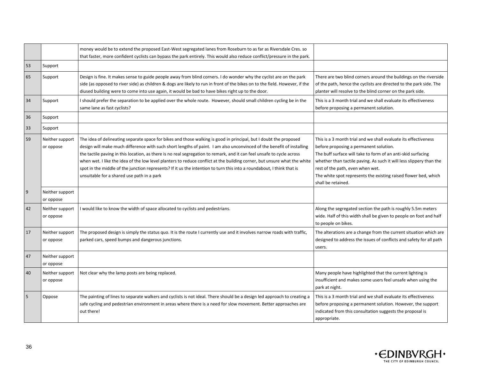|                  |                              | money would be to extend the proposed East-West segregated lanes from Roseburn to as far as Riversdale Cres. so<br>that faster, more confident cyclists can bypass the park entirely. This would also reduce conflict/pressure in the park.                                                                                                                                                                                                                                                                                                                                                                                                                             |                                                                                                                                                                                                                                                                                                                                                                               |
|------------------|------------------------------|-------------------------------------------------------------------------------------------------------------------------------------------------------------------------------------------------------------------------------------------------------------------------------------------------------------------------------------------------------------------------------------------------------------------------------------------------------------------------------------------------------------------------------------------------------------------------------------------------------------------------------------------------------------------------|-------------------------------------------------------------------------------------------------------------------------------------------------------------------------------------------------------------------------------------------------------------------------------------------------------------------------------------------------------------------------------|
| 53               | Support                      |                                                                                                                                                                                                                                                                                                                                                                                                                                                                                                                                                                                                                                                                         |                                                                                                                                                                                                                                                                                                                                                                               |
| 65               | Support                      | Design is fine. It makes sense to guide people away from blind corners. I do wonder why the cyclist are on the park<br>side (as opposed to river side) as children & dogs are likely to run in front of the bikes on to the field. However, if the<br>diused building were to come into use again, it would be bad to have bikes right up to the door.                                                                                                                                                                                                                                                                                                                  | There are two blind corners around the buildings on the riverside<br>of the path, hence the cyclists are directed to the park side. The<br>planter will resolve to the blind corner on the park side.                                                                                                                                                                         |
| 34               | Support                      | I should prefer the separation to be applied over the whole route. However, should small children cycling be in the<br>same lane as fast cyclists?                                                                                                                                                                                                                                                                                                                                                                                                                                                                                                                      | This is a 3 month trial and we shall evaluate its effectiveness<br>before proposing a permanent solution.                                                                                                                                                                                                                                                                     |
| 36               | Support                      |                                                                                                                                                                                                                                                                                                                                                                                                                                                                                                                                                                                                                                                                         |                                                                                                                                                                                                                                                                                                                                                                               |
| 33               | Support                      |                                                                                                                                                                                                                                                                                                                                                                                                                                                                                                                                                                                                                                                                         |                                                                                                                                                                                                                                                                                                                                                                               |
| 59               | Neither support<br>or oppose | The idea of delineating separate space for bikes and those walking is good in principal, but I doubt the proposed<br>design will make much difference with such short lengths of paint. I am also unconvinced of the benefit of installing<br>the tactile paving in this location, as there is no real segregation to remark, and it can feel unsafe to cycle across<br>when wet. I like the idea of the low level planters to reduce conflict at the building corner, but unsure what the white<br>spot in the middle of the junction represents? If it us the intention to turn this into a roundabout, I think that is<br>unsuitable for a shared use path in a park | This is a 3 month trial and we shall evaluate its effectiveness<br>before proposing a permanent solution.<br>The buff surface will take to form of an anti-skid surfacing<br>whether than tactile paving. As such it will less slippery than the<br>rest of the path, even when wet.<br>The white spot represents the existing raised flower bed, which<br>shall be retained. |
| $\boldsymbol{9}$ | Neither support<br>or oppose |                                                                                                                                                                                                                                                                                                                                                                                                                                                                                                                                                                                                                                                                         |                                                                                                                                                                                                                                                                                                                                                                               |
| 42               | Neither support<br>or oppose | I would like to know the width of space allocated to cyclists and pedestrians.                                                                                                                                                                                                                                                                                                                                                                                                                                                                                                                                                                                          | Along the segregated section the path is roughly 5.5m meters<br>wide. Half of this width shall be given to people on foot and half<br>to people on bikes.                                                                                                                                                                                                                     |
| 17               | Neither support<br>or oppose | The proposed design is simply the status quo. It is the route I currently use and it involves narrow roads with traffic,<br>parked cars, speed bumps and dangerous junctions.                                                                                                                                                                                                                                                                                                                                                                                                                                                                                           | The alterations are a change from the current situation which are<br>designed to address the issues of conflicts and safety for all path<br>users.                                                                                                                                                                                                                            |
| 47               | Neither support<br>or oppose |                                                                                                                                                                                                                                                                                                                                                                                                                                                                                                                                                                                                                                                                         |                                                                                                                                                                                                                                                                                                                                                                               |
| 40               | Neither support<br>or oppose | Not clear why the lamp posts are being replaced.                                                                                                                                                                                                                                                                                                                                                                                                                                                                                                                                                                                                                        | Many people have highlighted that the current lighting is<br>insufficient and makes some users feel unsafe when using the<br>park at night.                                                                                                                                                                                                                                   |
| 5                | Oppose                       | The painting of lines to separate walkers and cyclists is not ideal. There should be a design led approach to creating a<br>safe cycling and pedestrian environment in areas where there is a need for slow movement. Better approaches are<br>out there!                                                                                                                                                                                                                                                                                                                                                                                                               | This is a 3 month trial and we shall evaluate its effectiveness<br>before proposing a permanent solution. However, the support<br>indicated from this consultation suggests the proposal is<br>appropriate.                                                                                                                                                                   |

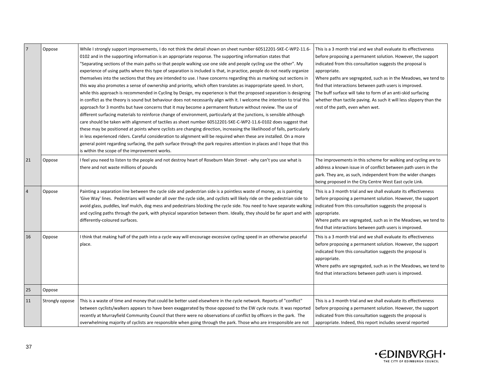|                | Oppose          | While I strongly support improvements, I do not think the detail shown on sheet number 60512201-SKE-C-WP2-11.6-<br>0102 and in the supporting information is an appropriate response. The supporting information states that<br>'Separating sections of the main paths so that people walking use one side and people cycling use the other". My<br>experience of using paths where this type of separation is included is that, in practice, people do not neatly organize<br>themselves into the sections that they are intended to use. I have concerns regarding this as marking out sections in<br>this way also promotes a sense of ownership and priority, which often translates as inappropriate speed. In short,<br>while this approach is recommended in Cycling by Design, my experience is that the proposed separation is designing<br>in conflict as the theory is sound but behaviour does not necessarily align with it. I welcome the intention to trial this<br>approach for 3 months but have concerns that it may become a permanent feature without review. The use of<br>different surfacing materials to reinforce change of environment, particularly at the junctions, is sensible although<br>care should be taken with alignment of tactiles as sheet number 60512201-SKE-C-WP2-11.6-0102 does suggest that<br>these may be positioned at points where cyclists are changing direction, increasing the likelihood of falls, particularly<br>in less experienced riders. Careful consideration to alignment will be required when these are installed. On a more<br>general point regarding surfacing, the path surface through the park requires attention in places and I hope that this<br>is within the scope of the improvement works. | This is a 3 month trial and we shall evaluate its effectiveness<br>before proposing a permanent solution. However, the support<br>indicated from this consultation suggests the proposal is<br>appropriate.<br>Where paths are segregated, such as in the Meadows, we tend to<br>find that interactions between path users is improved.<br>The buff surface will take to form of an anti-skid surfacing<br>whether than tactile paving. As such it will less slippery than the<br>rest of the path, even when wet. |
|----------------|-----------------|------------------------------------------------------------------------------------------------------------------------------------------------------------------------------------------------------------------------------------------------------------------------------------------------------------------------------------------------------------------------------------------------------------------------------------------------------------------------------------------------------------------------------------------------------------------------------------------------------------------------------------------------------------------------------------------------------------------------------------------------------------------------------------------------------------------------------------------------------------------------------------------------------------------------------------------------------------------------------------------------------------------------------------------------------------------------------------------------------------------------------------------------------------------------------------------------------------------------------------------------------------------------------------------------------------------------------------------------------------------------------------------------------------------------------------------------------------------------------------------------------------------------------------------------------------------------------------------------------------------------------------------------------------------------------------------------------------------------------------------------------------------------|--------------------------------------------------------------------------------------------------------------------------------------------------------------------------------------------------------------------------------------------------------------------------------------------------------------------------------------------------------------------------------------------------------------------------------------------------------------------------------------------------------------------|
| 21             | Oppose          | I feel you need to listen to the people and not destroy heart of Roseburn Main Street - why can't you use what is<br>there and not waste millions of pounds                                                                                                                                                                                                                                                                                                                                                                                                                                                                                                                                                                                                                                                                                                                                                                                                                                                                                                                                                                                                                                                                                                                                                                                                                                                                                                                                                                                                                                                                                                                                                                                                            | The improvements in this scheme for walking and cycling are to<br>address a known issue in of conflict between path users in the<br>park. They are, as such, independent from the wider changes<br>being proposed in the City Centre West East cycle Link.                                                                                                                                                                                                                                                         |
| $\overline{4}$ | Oppose          | Painting a separation line between the cycle side and pedestrian side is a pointless waste of money, as is painting<br>'Give Way' lines. Pedestrians will wander all over the cycle side, and cyclists will likely ride on the pedestrian side to<br>avoid glass, puddles, leaf mulch, dog mess and pedestrians blocking the cycle side. You need to have separate walking<br>and cycling paths through the park, with physical separation between them. Ideally, they should be far apart and with<br>differently-coloured surfaces.                                                                                                                                                                                                                                                                                                                                                                                                                                                                                                                                                                                                                                                                                                                                                                                                                                                                                                                                                                                                                                                                                                                                                                                                                                  | This is a 3 month trial and we shall evaluate its effectiveness<br>before proposing a permanent solution. However, the support<br>indicated from this consultation suggests the proposal is<br>appropriate.<br>Where paths are segregated, such as in the Meadows, we tend to<br>find that interactions between path users is improved.                                                                                                                                                                            |
| 16             | Oppose          | I think that making half of the path into a cycle way will encourage excessive cycling speed in an otherwise peaceful<br>place.                                                                                                                                                                                                                                                                                                                                                                                                                                                                                                                                                                                                                                                                                                                                                                                                                                                                                                                                                                                                                                                                                                                                                                                                                                                                                                                                                                                                                                                                                                                                                                                                                                        | This is a 3 month trial and we shall evaluate its effectiveness<br>before proposing a permanent solution. However, the support<br>indicated from this consultation suggests the proposal is<br>appropriate.<br>Where paths are segregated, such as in the Meadows, we tend to<br>find that interactions between path users is improved.                                                                                                                                                                            |
| 25             | Oppose          |                                                                                                                                                                                                                                                                                                                                                                                                                                                                                                                                                                                                                                                                                                                                                                                                                                                                                                                                                                                                                                                                                                                                                                                                                                                                                                                                                                                                                                                                                                                                                                                                                                                                                                                                                                        |                                                                                                                                                                                                                                                                                                                                                                                                                                                                                                                    |
| 11             | Strongly oppose | This is a waste of time and money that could be better used elsewhere in the cycle network. Reports of "conflict"<br>between cyclists/walkers appears to have been exaggerated by those opposed to the EW cycle route. It was reported<br>recently at Murrayfield Community Council that there were no observations of conflict by officers in the park. The<br>overwhelming majority of cyclists are responsible when going through the park. Those who are irresponsible are not                                                                                                                                                                                                                                                                                                                                                                                                                                                                                                                                                                                                                                                                                                                                                                                                                                                                                                                                                                                                                                                                                                                                                                                                                                                                                     | This is a 3 month trial and we shall evaluate its effectiveness<br>before proposing a permanent solution. However, the support<br>indicated from this consultation suggests the proposal is<br>appropriate. Indeed, this report includes several reported                                                                                                                                                                                                                                                          |

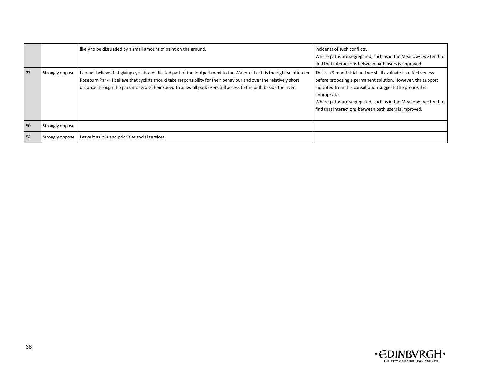|    |                 | likely to be dissuaded by a small amount of paint on the ground.                                                                                                                                                                                                                                                                                                       | incidents of such conflicts.<br>Where paths are segregated, such as in the Meadows, we tend to<br>find that interactions between path users is improved.                                                                                                                                                                                |
|----|-----------------|------------------------------------------------------------------------------------------------------------------------------------------------------------------------------------------------------------------------------------------------------------------------------------------------------------------------------------------------------------------------|-----------------------------------------------------------------------------------------------------------------------------------------------------------------------------------------------------------------------------------------------------------------------------------------------------------------------------------------|
| 23 | Strongly oppose | I do not believe that giving cyclists a dedicated part of the footpath next to the Water of Leith is the right solution for<br>Roseburn Park. I believe that cyclists should take responsibility for their behaviour and over the relatively short<br>distance through the park moderate their speed to allow all park users full access to the path beside the river. | This is a 3 month trial and we shall evaluate its effectiveness<br>before proposing a permanent solution. However, the support<br>indicated from this consultation suggests the proposal is<br>appropriate.<br>Where paths are segregated, such as in the Meadows, we tend to<br>find that interactions between path users is improved. |
| 50 | Strongly oppose |                                                                                                                                                                                                                                                                                                                                                                        |                                                                                                                                                                                                                                                                                                                                         |
| 54 | Strongly oppose | Leave it as it is and prioritise social services.                                                                                                                                                                                                                                                                                                                      |                                                                                                                                                                                                                                                                                                                                         |

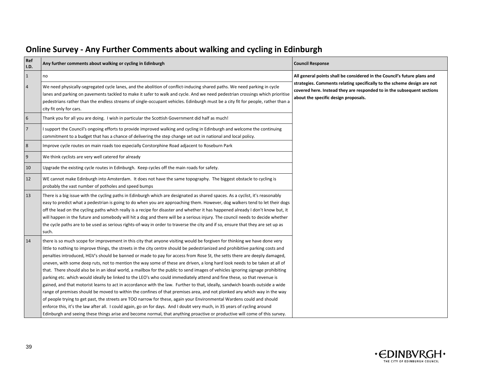| Ref<br>I.D.    | Any further comments about walking or cycling in Edinburgh                                                                                                                                                                                                                                                                                                                                                                                                                                                                                                                                                                                                                                                                                                                                                                                                                                                                                                                                                                                                                                                                                                                                                                                                                                                                                                                                                                         | <b>Council Response</b>                                                                                                                                                                   |  |
|----------------|------------------------------------------------------------------------------------------------------------------------------------------------------------------------------------------------------------------------------------------------------------------------------------------------------------------------------------------------------------------------------------------------------------------------------------------------------------------------------------------------------------------------------------------------------------------------------------------------------------------------------------------------------------------------------------------------------------------------------------------------------------------------------------------------------------------------------------------------------------------------------------------------------------------------------------------------------------------------------------------------------------------------------------------------------------------------------------------------------------------------------------------------------------------------------------------------------------------------------------------------------------------------------------------------------------------------------------------------------------------------------------------------------------------------------------|-------------------------------------------------------------------------------------------------------------------------------------------------------------------------------------------|--|
| $\mathbf{1}$   | no                                                                                                                                                                                                                                                                                                                                                                                                                                                                                                                                                                                                                                                                                                                                                                                                                                                                                                                                                                                                                                                                                                                                                                                                                                                                                                                                                                                                                                 | All general points shall be considered in the Council's future plans and                                                                                                                  |  |
| $\overline{4}$ | We need physically-segregated cycle lanes, and the abolition of conflict-inducing shared paths. We need parking in cycle<br>lanes and parking on pavements tackled to make it safer to walk and cycle. And we need pedestrian crossings which prioritise<br>pedestrians rather than the endless streams of single-occupant vehicles. Edinburgh must be a city fit for people, rather than a<br>city fit only for cars.                                                                                                                                                                                                                                                                                                                                                                                                                                                                                                                                                                                                                                                                                                                                                                                                                                                                                                                                                                                                             | strategies. Comments relating specifically to the scheme design are not<br>covered here. Instead they are responded to in the subsequent sections<br>about the specific design proposals. |  |
| 6              | Thank you for all you are doing. I wish in particular the Scottish Government did half as much!                                                                                                                                                                                                                                                                                                                                                                                                                                                                                                                                                                                                                                                                                                                                                                                                                                                                                                                                                                                                                                                                                                                                                                                                                                                                                                                                    |                                                                                                                                                                                           |  |
| $\overline{7}$ | I support the Council's ongoing efforts to provide improved walking and cycling in Edinburgh and welcome the continuing<br>commitment to a budget that has a chance of delivering the step change set out in national and local policy.                                                                                                                                                                                                                                                                                                                                                                                                                                                                                                                                                                                                                                                                                                                                                                                                                                                                                                                                                                                                                                                                                                                                                                                            |                                                                                                                                                                                           |  |
| 8              | Improve cycle routes on main roads too especially Corstorphine Road adjacent to Roseburn Park                                                                                                                                                                                                                                                                                                                                                                                                                                                                                                                                                                                                                                                                                                                                                                                                                                                                                                                                                                                                                                                                                                                                                                                                                                                                                                                                      |                                                                                                                                                                                           |  |
| 9              | We think cyclists are very well catered for already                                                                                                                                                                                                                                                                                                                                                                                                                                                                                                                                                                                                                                                                                                                                                                                                                                                                                                                                                                                                                                                                                                                                                                                                                                                                                                                                                                                |                                                                                                                                                                                           |  |
| 10             | Upgrade the existing cycle routes in Edinburgh. Keep cycles off the main roads for safety.                                                                                                                                                                                                                                                                                                                                                                                                                                                                                                                                                                                                                                                                                                                                                                                                                                                                                                                                                                                                                                                                                                                                                                                                                                                                                                                                         |                                                                                                                                                                                           |  |
| 12             | WE cannot make Edinburgh into Amsterdam. It does not have the same topography. The biggest obstacle to cycling is<br>probably the vast number of potholes and speed bumps                                                                                                                                                                                                                                                                                                                                                                                                                                                                                                                                                                                                                                                                                                                                                                                                                                                                                                                                                                                                                                                                                                                                                                                                                                                          |                                                                                                                                                                                           |  |
| 13             | There is a big issue with the cycling paths in Edinburgh which are designated as shared spaces. As a cyclist, it's reasonably<br>easy to predict what a pedestrian is going to do when you are approaching them. However, dog walkers tend to let their dogs<br>off the lead on the cycling paths which really is a recipe for disaster and whether it has happened already I don't know but, it<br>will happen in the future and somebody will hit a dog and there will be a serious injury. The council needs to decide whether<br>the cycle paths are to be used as serious rights-of-way in order to traverse the city and if so, ensure that they are set up as<br>such.                                                                                                                                                                                                                                                                                                                                                                                                                                                                                                                                                                                                                                                                                                                                                      |                                                                                                                                                                                           |  |
| 14             | there is so much scope for improvement in this city that anyone visiting would be forgiven for thinking we have done very<br>little to nothing to improve things, the streets in the city centre should be pedestrianized and prohibitive parking costs and<br>penalties introduced, HGV's should be banned or made to pay for access from Rose St, the setts there are deeply damaged,<br>uneven, with some deep ruts, not to mention the way some of these are driven, a long hard look needs to be taken at all of<br>that. There should also be in an ideal world, a mailbox for the public to send images of vehicles ignoring signage prohibiting<br>parking etc. which would ideally be linked to the LEO's who could immediately attend and fine these, so that revenue is<br>gained, and that motorist learns to act in accordance with the law. Further to that, ideally, sandwich boards outside a wide<br>range of premises should be moved to within the confines of that premises area, and not plonked any which way in the way<br>of people trying to get past, the streets are TOO narrow for these, again your Environmental Wardens could and should<br>enforce this, it's the law after all. I could again, go on for days. And I doubt very much, in 35 years of cycling around<br>Edinburgh and seeing these things arise and become normal, that anything proactive or productive will come of this survey. |                                                                                                                                                                                           |  |

### **Online Survey - Any Further Comments about walking and cycling in Edinburgh**

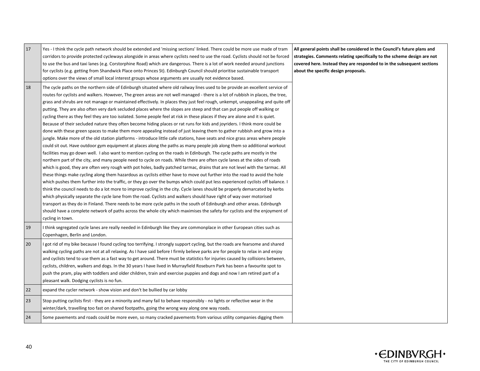| 17 | Yes - I think the cycle path network should be extended and 'missing sections' linked. There could be more use made of tram<br>corridors to provide protected cycleways alongside in areas where cyclists need to use the road. Cyclists should not be forced<br>to use the bus and taxi lanes (e.g. Corstorphine Road) which are dangerous. There is a lot of work needed around junctions<br>for cyclists (e.g. getting from Shandwick Place onto Princes St). Edinburgh Council should prioritise sustainable transport<br>options over the views of small local interest groups whose arguments are usually not evidence based.                                                                                                                                                                                                                                                                                                                                                                                                                                                                                                                                                                                                                                                                                                                                                                                                                                                                                                                                                                                                                                                                                                                                                                                                                                                                                                                                                                                                                                                                                                                                                                                                                                                                                                                                                 | All general points shall be considered in the Council's future plans and<br>strategies. Comments relating specifically to the scheme design are not<br>covered here. Instead they are responded to in the subsequent sections<br>about the specific design proposals. |
|----|-------------------------------------------------------------------------------------------------------------------------------------------------------------------------------------------------------------------------------------------------------------------------------------------------------------------------------------------------------------------------------------------------------------------------------------------------------------------------------------------------------------------------------------------------------------------------------------------------------------------------------------------------------------------------------------------------------------------------------------------------------------------------------------------------------------------------------------------------------------------------------------------------------------------------------------------------------------------------------------------------------------------------------------------------------------------------------------------------------------------------------------------------------------------------------------------------------------------------------------------------------------------------------------------------------------------------------------------------------------------------------------------------------------------------------------------------------------------------------------------------------------------------------------------------------------------------------------------------------------------------------------------------------------------------------------------------------------------------------------------------------------------------------------------------------------------------------------------------------------------------------------------------------------------------------------------------------------------------------------------------------------------------------------------------------------------------------------------------------------------------------------------------------------------------------------------------------------------------------------------------------------------------------------------------------------------------------------------------------------------------------------|-----------------------------------------------------------------------------------------------------------------------------------------------------------------------------------------------------------------------------------------------------------------------|
| 18 | The cycle paths on the northern side of Edinburgh situated where old railway lines used to be provide an excellent service of<br>routes for cyclists and walkers. However, The green areas are not well managed - there is a lot of rubbish in places, the tree,<br>grass and shrubs are not manage or maintained effectively. In places they just feel rough, unkempt, unappealing and quite off<br>putting. They are also often very dark secluded places where the slopes are steep and that can put people off walking or<br>cycling there as they feel they are too isolated. Some people feel at risk in these places if they are alone and it is quiet.<br>Because of their secluded nature they often become hiding places or rat runs for kids and joyriders. I think more could be<br>done with these green spaces to make them more appealing instead of just leaving them to gather rubbish and grow into a<br>jungle. Make more of the old station platforms - introduce little cafe stations, have seats and nice grass areas where people<br>could sit out. Have outdoor gym equipment at places along the paths as many people job along them so additional workout<br>facilities may go down well. I also want to mention cycling on the roads in Edinburgh. The cycle paths are mostly in the<br>northern part of the city, and many people need to cycle on roads. While there are often cycle lanes at the sides of roads<br>which is good, they are often very rough with pot holes, badly patched tarmac, drains that are not level with the tarmac. All<br>these things make cycling along them hazardous as cyclists either have to move out further into the road to avoid the hole<br>which pushes them further into the traffic, or they go over the bumps which could put less experienced cyclists off balance. I<br>think the council needs to do a lot more to improve cycling in the city. Cycle lanes should be properly demarcated by kerbs<br>which physically separate the cycle lane from the road. Cyclists and walkers should have right of way over motorised<br>transport as they do in Finland. There needs to be more cycle paths in the south of Edinburgh and other areas. Edinburgh<br>should have a complete network of paths across the whole city which maximises the safety for cyclists and the enjoyment of<br>cycling in town. |                                                                                                                                                                                                                                                                       |
| 19 | I think segregated cycle lanes are really needed in Edinburgh like they are commonplace in other European cities such as<br>Copenhagen, Berlin and London.                                                                                                                                                                                                                                                                                                                                                                                                                                                                                                                                                                                                                                                                                                                                                                                                                                                                                                                                                                                                                                                                                                                                                                                                                                                                                                                                                                                                                                                                                                                                                                                                                                                                                                                                                                                                                                                                                                                                                                                                                                                                                                                                                                                                                          |                                                                                                                                                                                                                                                                       |
| 20 | I got rid of my bike because I found cycling too terrifying. I strongly support cycling, but the roads are fearsome and shared<br>walking cycling paths are not at all relaxing. As I have said before I firmly believe parks are for people to relax in and enjoy<br>and cyclists tend to use them as a fast way to get around. There must be statistics for injuries caused by collisions between,<br>cyclists, children, walkers and dogs. In the 30 years I have lived in Murrayfield Roseburn Park has been a favourite spot to<br>push the pram, play with toddlers and older children, train and exercise puppies and dogs and now I am retired part of a<br>pleasant walk. Dodging cyclists is no fun.                                                                                                                                                                                                                                                                                                                                                                                                                                                                                                                                                                                                                                                                                                                                                                                                                                                                                                                                                                                                                                                                                                                                                                                                                                                                                                                                                                                                                                                                                                                                                                                                                                                                      |                                                                                                                                                                                                                                                                       |
| 22 | expand the cycler network - show vision and don't be bullied by car lobby                                                                                                                                                                                                                                                                                                                                                                                                                                                                                                                                                                                                                                                                                                                                                                                                                                                                                                                                                                                                                                                                                                                                                                                                                                                                                                                                                                                                                                                                                                                                                                                                                                                                                                                                                                                                                                                                                                                                                                                                                                                                                                                                                                                                                                                                                                           |                                                                                                                                                                                                                                                                       |
| 23 | Stop putting cyclists first - they are a minority and many fail to behave responsibly - no lights or reflective wear in the<br>winter/dark, travelling too fast on shared footpaths, going the wrong way along one way roads.                                                                                                                                                                                                                                                                                                                                                                                                                                                                                                                                                                                                                                                                                                                                                                                                                                                                                                                                                                                                                                                                                                                                                                                                                                                                                                                                                                                                                                                                                                                                                                                                                                                                                                                                                                                                                                                                                                                                                                                                                                                                                                                                                       |                                                                                                                                                                                                                                                                       |
| 24 | Some pavements and roads could be more even, so many cracked pavements from various utility companies digging them                                                                                                                                                                                                                                                                                                                                                                                                                                                                                                                                                                                                                                                                                                                                                                                                                                                                                                                                                                                                                                                                                                                                                                                                                                                                                                                                                                                                                                                                                                                                                                                                                                                                                                                                                                                                                                                                                                                                                                                                                                                                                                                                                                                                                                                                  |                                                                                                                                                                                                                                                                       |

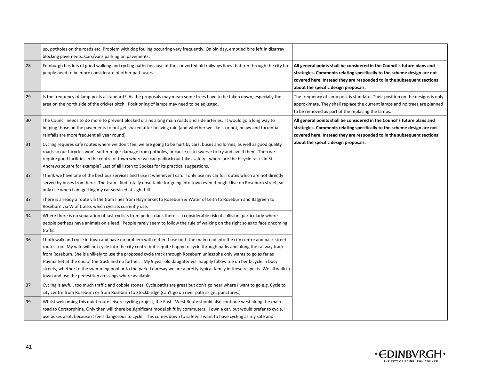|    | up, potholes on the roads etc. Problem with dog fouling occurring very frequently. On bin day, emptied bins left in disarray<br>blocking pavements. Cars/vans parking on pavements.                                                                                                                                                                                                                                                                                                                                                                                                                                                                                                                            |                                                                                                                                                                                                                                                                       |
|----|----------------------------------------------------------------------------------------------------------------------------------------------------------------------------------------------------------------------------------------------------------------------------------------------------------------------------------------------------------------------------------------------------------------------------------------------------------------------------------------------------------------------------------------------------------------------------------------------------------------------------------------------------------------------------------------------------------------|-----------------------------------------------------------------------------------------------------------------------------------------------------------------------------------------------------------------------------------------------------------------------|
| 28 | Edinburgh has lots of good walking and cycling paths because of the converted old railways lines that run through the city but<br>people need to be more considerate of other path users.                                                                                                                                                                                                                                                                                                                                                                                                                                                                                                                      | All general points shall be considered in the Council's future plans and<br>strategies. Comments relating specifically to the scheme design are not<br>covered here. Instead they are responded to in the subsequent sections<br>about the specific design proposals. |
| 29 | Is the frequency of lamp posts a standard? As the proposals may mean some trees have to be taken down, especially the<br>area on the north side of the cricket pitch. Positioning of lamps may need to be adjusted.                                                                                                                                                                                                                                                                                                                                                                                                                                                                                            | The frequency of lamp post is standard. Their position on the designs is only<br>approximate. They shall replace the current lamps and no trees are planned<br>to be removed as part of the replacing the lamps.                                                      |
| 30 | The Council needs to do more to prevent blocked drains along main roads and side arteries. It would go a long way to<br>helping those on the pavements to not get soaked after heaving rain (and whether we like it or not, heavy and torrential<br>rainfalls are more frequent all year round).                                                                                                                                                                                                                                                                                                                                                                                                               | All general points shall be considered in the Council's future plans and<br>strategies. Comments relating specifically to the scheme design are not<br>covered here. Instead they are responded to in the subsequent sections                                         |
| 31 | Cycling requires safe routes where we don't feel we are going to be hurt by cars, buses and lorries, as well as good quality<br>roads so our bicycles won't suffer major damage from potholes, or cause us to swerve to try and avoid them. Then we<br>require good facilities in the centre of town where we can padlock our bikes safety - where are the bicycle racks in St<br>Andrews square for example? Last of all listen to Spokes for its practical suggestions.                                                                                                                                                                                                                                      | about the specific design proposals.                                                                                                                                                                                                                                  |
| 32 | I think we have one of the best bus services and I use it whenever I can. I only use my car for routes which are not directly<br>served by buses from here. The tram I find totally unsuitable for going into town even though I live on Roseburn street, so<br>only use when I am getting my car serviced at sight hill                                                                                                                                                                                                                                                                                                                                                                                       |                                                                                                                                                                                                                                                                       |
| 33 | There is already a route via the tram lines from Haymarket to Roseburn & Water of Leith to Roseburn and Balgreen to<br>Roseburn via W of L also, which cyclists currently use.                                                                                                                                                                                                                                                                                                                                                                                                                                                                                                                                 |                                                                                                                                                                                                                                                                       |
| 34 | Where there is no separation of fast cyclists from pedestrians there is a considerable risk of collision, particularly where<br>people perhaps have animals on a lead. People rarely seem to follow the rule of walking on the right so as to face oncoming<br>traffic.                                                                                                                                                                                                                                                                                                                                                                                                                                        |                                                                                                                                                                                                                                                                       |
| 36 | I both walk and cycle in town and have no problem with either. I use both the main road into the city centre and back street<br>routes too. My wife will not cycle into the city centre but is quite happy to cycle through parks and along the railway track<br>from Roseburn. She is unlikely to use the proposed cycle track through Roseburn unless she only wants to go as far as<br>Haymarket at the end of the track and no further. My 9 year old daughter will happily follow me on her bicycle in busy<br>streets, whether to the swimming pool or to the park. I daresay we are a pretty typical family in these respects. We all walk in<br>town and use the pedestrian crossings where available. |                                                                                                                                                                                                                                                                       |
| 37 | Cycling is awful, too much traffic and cobble stones. Cycle paths are great but don't go near where I want to go e.g. Cycle to<br>city centre from Roseburn or from Roseburn to Stockbridge (can't go on river path as get punctures.)                                                                                                                                                                                                                                                                                                                                                                                                                                                                         |                                                                                                                                                                                                                                                                       |
| 39 | Whilst welcoming this quiet route leisure cycling project, the East - West Route should also continue west along the main<br>road to Corstorphine. Only then will there be significant modal shift by commuters. I own a car, but would prefer to cycle. I<br>use buses a lot, because it feels dangerous to cycle. This comes down to safety. I want to have cycling as my safe and                                                                                                                                                                                                                                                                                                                           |                                                                                                                                                                                                                                                                       |

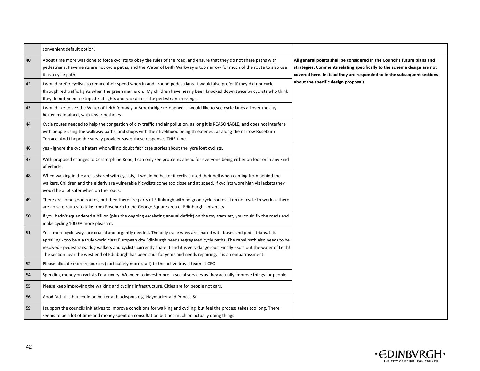|    | convenient default option.                                                                                                                                                                                                                                                                                                                                                                                                                                                                                           |                                                                                                                                                                                                                               |
|----|----------------------------------------------------------------------------------------------------------------------------------------------------------------------------------------------------------------------------------------------------------------------------------------------------------------------------------------------------------------------------------------------------------------------------------------------------------------------------------------------------------------------|-------------------------------------------------------------------------------------------------------------------------------------------------------------------------------------------------------------------------------|
| 40 | About time more was done to force cyclists to obey the rules of the road, and ensure that they do not share paths with<br>pedestrians. Pavements are not cycle paths, and the Water of Leith Walkway is too narrow for much of the route to also use<br>it as a cycle path.                                                                                                                                                                                                                                          | All general points shall be considered in the Council's future plans and<br>strategies. Comments relating specifically to the scheme design are not<br>covered here. Instead they are responded to in the subsequent sections |
| 42 | I would prefer cyclists to reduce their speed when in and around pedestrians. I would also prefer if they did not cycle<br>through red traffic lights when the green man is on. My children have nearly been knocked down twice by cyclists who think<br>they do not need to stop at red lights and race across the pedestrian crossings.                                                                                                                                                                            | about the specific design proposals.                                                                                                                                                                                          |
| 43 | I would like to see the Water of Leith footway at Stockbridge re-opened. I would like to see cycle lanes all over the city<br>better-maintained, with fewer potholes                                                                                                                                                                                                                                                                                                                                                 |                                                                                                                                                                                                                               |
| 44 | Cycle routes needed to help the congestion of city traffic and air pollution, as long it is REASONABLE, and does not interfere<br>with people using the walkway paths, and shops with their livelihood being threatened, as along the narrow Roseburn<br>Terrace. And I hope the survey provider saves these responses THIS time.                                                                                                                                                                                    |                                                                                                                                                                                                                               |
| 46 | yes - ignore the cycle haters who will no doubt fabricate stories about the lycra lout cyclists.                                                                                                                                                                                                                                                                                                                                                                                                                     |                                                                                                                                                                                                                               |
| 47 | With proposed changes to Corstorphine Road, I can only see problems ahead for everyone being either on foot or in any kind<br>of vehicle.                                                                                                                                                                                                                                                                                                                                                                            |                                                                                                                                                                                                                               |
| 48 | When walking in the areas shared with cyclists, it would be better if cyclists used their bell when coming from behind the<br>walkers. Children and the elderly are vulnerable if cyclists come too close and at speed. If cyclists wore high viz jackets they<br>would be a lot safer when on the roads.                                                                                                                                                                                                            |                                                                                                                                                                                                                               |
| 49 | There are some good routes, but then there are parts of Edinburgh with no good cycle routes. I do not cycle to work as there<br>are no safe routes to take from Roseburn to the George Square area of Edinburgh University.                                                                                                                                                                                                                                                                                          |                                                                                                                                                                                                                               |
| 50 | If you hadn't squandered a billion (plus the ongoing escalating annual deficit) on the toy tram set, you could fix the roads and<br>make cycling 1000% more pleasant.                                                                                                                                                                                                                                                                                                                                                |                                                                                                                                                                                                                               |
| 51 | Yes - more cycle ways are crucial and urgently needed. The only cycle ways are shared with buses and pedestrians. It is<br>appalling - too be a a truly world class European city Edinburgh needs segregated cycle paths. The canal path also needs to be<br>resolved - pedestrians, dog walkers and cyclists currently share it and it is very dangerous. Finally - sort out the water of Leith!<br>The section near the west end of Edinburgh has been shut for years and needs repairing. It is an embarrassment. |                                                                                                                                                                                                                               |
| 52 | Please allocate more resources (particularly more staff) to the active travel team at CEC                                                                                                                                                                                                                                                                                                                                                                                                                            |                                                                                                                                                                                                                               |
| 54 | Spending money on cyclists I'd a luxury. We need to invest more in social services as they actually improve things for people.                                                                                                                                                                                                                                                                                                                                                                                       |                                                                                                                                                                                                                               |
| 55 | Please keep improving the walking and cycling infrastructure. Cities are for people not cars.                                                                                                                                                                                                                                                                                                                                                                                                                        |                                                                                                                                                                                                                               |
| 56 | Good facilities but could be better at blackspots e.g. Haymarket and Princes St                                                                                                                                                                                                                                                                                                                                                                                                                                      |                                                                                                                                                                                                                               |
| 59 | I support the councils initiatives to improve conditions for walking and cycling, but feel the process takes too long. There<br>seems to be a lot of time and money spent on consultation but not much on actually doing things                                                                                                                                                                                                                                                                                      |                                                                                                                                                                                                                               |